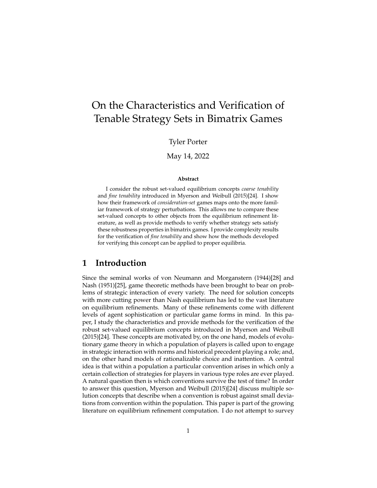# On the Characteristics and Verification of Tenable Strategy Sets in Bimatrix Games

### Tyler Porter

#### May 14, 2022

#### **Abstract**

I consider the robust set-valued equilibrium concepts *coarse tenability* and *fine tenability* introduced in Myerson and Weibull (2015)[24]. I show how their framework of *consideration-set* games maps onto the more familiar framework of strategy perturbations. This allows me to compare these set-valued concepts to other objects from the equilibrium refinement literature, as well as provide methods to verify whether strategy sets satisfy these robustness properties in bimatrix games. I provide complexity results for the verification of *fine tenability* and show how the methods developed for verifying this concept can be applied to proper equilibria.

## **1 Introduction**

Since the seminal works of von Neumann and Morganstern (1944)[28] and Nash (1951)[25], game theoretic methods have been brought to bear on problems of strategic interaction of every variety. The need for solution concepts with more cutting power than Nash equilibrium has led to the vast literature on equilibrium refinements. Many of these refinements come with different levels of agent sophistication or particular game forms in mind. In this paper, I study the characteristics and provide methods for the verification of the robust set-valued equilibrium concepts introduced in Myerson and Weibull (2015)[24]. These concepts are motivated by, on the one hand, models of evolutionary game theory in which a population of players is called upon to engage in strategic interaction with norms and historical precedent playing a role; and, on the other hand models of rationalizable choice and inattention. A central idea is that within a population a particular convention arises in which only a certain collection of strategies for players in various type roles are ever played. A natural question then is which conventions survive the test of time? In order to answer this question, Myerson and Weibull (2015)[24] discuss multiple solution concepts that describe when a convention is robust against small deviations from convention within the population. This paper is part of the growing literature on equilibrium refinement computation. I do not attempt to survey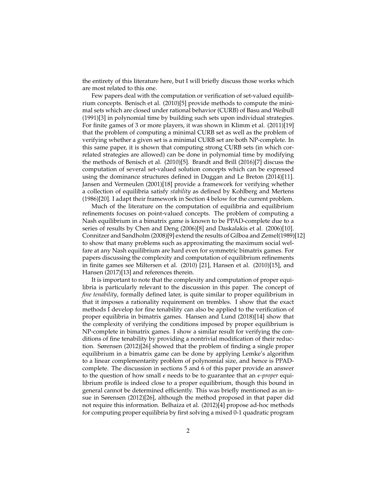the entirety of this literature here, but I will briefly discuss those works which are most related to this one.

Few papers deal with the computation or verification of set-valued equilibrium concepts. Benisch et al. (2010)[5] provide methods to compute the minimal sets which are closed under rational behavior (CURB) of Basu and Weibull (1991)[3] in polynomial time by building such sets upon individual strategies. For finite games of 3 or more players, it was shown in Klimm et al. (2011)[19] that the problem of computing a minimal CURB set as well as the problem of verifying whether a given set is a minimal CURB set are both NP-complete. In this same paper, it is shown that computing strong CURB sets (in which correlated strategies are allowed) can be done in polynomial time by modifying the methods of Benisch et al. (2010)[5]. Brandt and Brill (2016)[7] discuss the computation of several set-valued solution concepts which can be expressed using the dominance structures defined in Duggan and Le Breton (2014)[11]. Jansen and Vermeulen (2001)[18] provide a framework for verifying whether a collection of equilibria satisfy *stability* as defined by Kohlberg and Mertens (1986)[20]. I adapt their framework in Section 4 below for the current problem.

Much of the literature on the computation of equilibria and equilibrium refinements focuses on point-valued concepts. The problem of computing a Nash equilibrium in a bimatrix game is known to be PPAD-complete due to a series of results by Chen and Deng (2006)[8] and Daskalakis et al. (2006)[10]. Connitzer and Sandholm (2008)[9] extend the results of Gilboa and Zemel(1989)[12] to show that many problems such as approximating the maximum social welfare at any Nash equilibrium are hard even for symmetric bimatrix games. For papers discussing the complexity and computation of equilibrium refinements in finite games see Miltersen et al. (2010) [21], Hansen et al. (2010)[15], and Hansen (2017)[13] and references therein.

It is important to note that the complexity and computation of proper equilibria is particularly relevant to the discussion in this paper. The concept of *fine tenability*, formally defined later, is quite similar to proper equilibrium in that it imposes a rationality requirement on trembles. I show that the exact methods I develop for fine tenability can also be applied to the verification of proper equilibria in bimatrix games. Hansen and Lund (2018)[14] show that the complexity of verifying the conditions imposed by proper equilibrium is NP-complete in bimatrix games. I show a similar result for verifying the conditions of fine tenability by providing a nontrivial modification of their reduction. Sørensen (2012)[26] showed that the problem of finding a single proper equilibrium in a bimatrix game can be done by applying Lemke's algorithm to a linear complementarity problem of polynomial size, and hence is PPADcomplete. The discussion in sections 5 and 6 of this paper provide an answer to the question of how small  $\epsilon$  needs to be to guarantee that an  $\epsilon$ -proper equilibrium profile is indeed close to a proper equilibrium, though this bound in general cannot be determined efficiently. This was briefly mentioned as an issue in Sørensen (2012)[26], although the method proposed in that paper did not require this information. Belhaiza et al. (2012)[4] propose ad-hoc methods for computing proper equilibria by first solving a mixed 0-1 quadratic program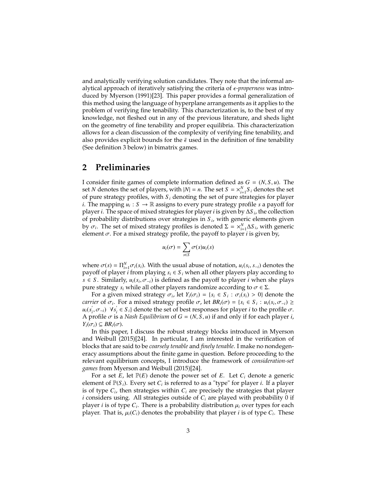and analytically verifying solution candidates. They note that the informal analytical approach of iteratively satisfying the criteria of ϵ*-properness* was introduced by Myerson (1991)[23]. This paper provides a formal generalization of this method using the language of hyperplane arrangements as it applies to the problem of verifying fine tenability. This characterization is, to the best of my knowledge, not fleshed out in any of the previous literature, and sheds light on the geometry of fine tenability and proper equilibria. This characterization allows for a clean discussion of the complexity of verifying fine tenability, and also provides explicit bounds for the  $\bar{\epsilon}$  used in the definition of fine tenability (See definition 3 below) in bimatrix games.

## **2 Preliminaries**

I consider finite games of complete information defined as  $G = (N, S, u)$ . The set *N* denotes the set of players, with  $|N| = n$ . The set  $S = \times_{i=1}^{N} S_i$  denotes the set of pure strategy profiles, with  $S_i$  denoting the set of pure strategies for player *i*. The mapping  $u_i : S \to \mathbb{R}$  assigns to every pure strategy profile *s* a payoff for player *i*. The space of mixed strategies for player *i* is given by ∆*S <sup>i</sup>* , the collection of probability distributions over strategies in *S <sup>i</sup>* , with generic elements given by  $\sigma_i$ . The set of mixed strategy profiles is denoted  $\Sigma = \frac{X_{i-1}^N \Delta S_i}{\Delta t}$ , with generic element  $\sigma$ . For a mixed strategy profile, the payoff to player *i* is given by element  $\sigma$ . For a mixed strategy profile, the payoff to player *i* is given by,

$$
u_i(\sigma) = \sum_{s \in S} \sigma(s) u_i(s)
$$

where  $\sigma(s) = \prod_{i=1}^{N} \sigma_i(s_i)$ . With the usual abuse of notation,  $u_i(s_i, s_{-i})$  denotes the navor of player *i* from playing  $s_i \in S$ , when all other players play according to payoff of player *i* from playing  $s_i \in S_i$  when all other players play according to *s* ∈ *S*. Similarly,  $u_i(s_i, \sigma_{-i})$  is defined as the payoff to player *i* when she plays pure strategy *s*, while all other players randomize according to  $\sigma \in \Sigma$ pure strategy *<sup>s</sup><sup>i</sup>* while all other players randomize according to <sup>σ</sup> <sup>∈</sup> <sup>Σ</sup>.

For a given mixed strategy  $\sigma_i$ , let  $Y_i(\sigma_i) = \{s_i \in S_i : \sigma_i(s_i) > 0\}$  denote the set of  $\sigma_i$ . For a mixed strategy profile  $\sigma_i$  let  $RR_i(\sigma_i) = \{s_i \in S_i : \mu_i(s_i, \sigma_i)\}$ *carrier* of  $\sigma_i$ . For a mixed strategy profile  $\sigma$ , let  $BR_i(\sigma) = \{s_i \in S_i : u_i(s_i, \sigma_{-i}) \ge u_i(s_i, \sigma_{-i}) \ge u_i(s_i, \sigma_{-i}) \le u_i(s_i, \sigma_{-i}) \}$  $u_i(s'_i)$  $\mathbf{v}_i^{\prime}, \sigma_{-i}$ ) ∀*s*<sup>'</sup><sub>*i*</sub>
<sup>*s*</sup>  $\alpha'$ <sub>*i*</sub>  $\in S$ <sub>*i*</sub>} denote the set of best responses for player *i* to the profile  $\sigma$ .<br>s a Nash Equilibrium of  $G - (N, S, u)$  if and only if for each player *i* A profile  $\sigma$  is a *Nash Equilibrium* of  $G = (N, S, u)$  if and only if for each player *i*, *<sup>Y</sup>i*(σ*<sup>i</sup>*) <sup>⊆</sup> *BRi*(σ).

In this paper, I discuss the robust strategy blocks introduced in Myerson and Weibull (2015)[24]. In particular, I am interested in the verification of blocks that are said to be *coarsely tenable* and *finely tenable*. I make no nondegeneracy assumptions about the finite game in question. Before proceeding to the relevant equilibrium concepts, I introduce the framework of *consideration-set games* from Myerson and Weibull (2015)[24].

For a set  $E$ , let  $\mathbb{P}(E)$  denote the power set of  $E$ . Let  $C_i$  denote a generic element of  $\mathbb{P}(S_i)$ . Every set  $C_i$  is referred to as a "type" for player *i*. If a player is of type  $C_i$ , then strategies within  $C_i$  are precisely the strategies that player *i* considers using. All strategies outside of *C<sup>i</sup>* are played with probability 0 if player *i* is of type  $C_i$ . There is a probability distribution  $\mu_i$  over types for each player. That is  $\mu_i(C_i)$  denotes the probability that player *i* is of type  $C_i$ . These player. That is,  $\mu_i(C_i)$  denotes the probability that player *i* is of type  $C_i$ . These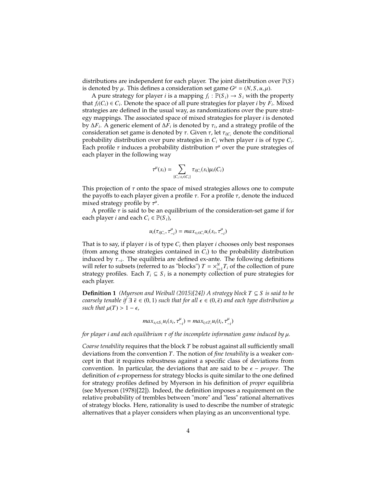distributions are independent for each player. The joint distribution over P(*S* ) is denoted by  $\mu$ . This defines a consideration set game  $G^{\mu} = (N, S, u, \mu)$ .<br>A pure strateoy for player *i* is a mapping  $f : \mathbb{P}(S) \to S$ , with the *r* 

A pure strategy for player *i* is a mapping  $f_i : \mathbb{P}(S_i) \to S_i$  with the property that  $f_i(C_i) \in C_i$ . Denote the space of all pure strategies for player *i* by  $F_i$ . Mixed strategies are defined in the usual way, as randomizations over the pure strategy mappings. The associated space of mixed strategies for player *i* is denoted by  $\Delta F_i$ . A generic element of  $\Delta F_i$  is denoted by  $\tau_i$ , and a strategy profile of the consideration set game is denoted by  $\tau$ . Given  $\tau$ , let  $\tau_{i\alpha}$  denote the conditional consideration set game is denoted by  $\tau$ . Given  $\tau$ , let  $\tau_{i|C_i}$  denote the conditional probability distribution over pure strategies in *C<sup>i</sup>* when player *i* is of type *C<sup>i</sup>* . Each profile τ induces a probability distribution τ<sup>µ</sup> over the pure strategies of<br>each player in the following way each player in the following way

$$
\tau^{\mu}(s_i) = \sum_{\{C_i: s_i \in C_i\}} \tau_{i|C_i}(s_i) \mu_i(C_i)
$$

This projection of  $\tau$  onto the space of mixed strategies allows one to compute the payoffs to each player given a profile  $\tau$ . For a profile  $\tau$ , denote the induced mixed strategy profile by  $\tau^{\mu}$ .<br>A profile  $\tau$  is said to be a

A profile  $\tau$  is said to be an equilibrium of the consideration-set game if for each player *i* and each  $C_i \in \mathbb{P}(S_i)$ ,

$$
u_i(\tau_{i|C_i}, \tau_{-i}^{\mu}) = max_{s_i \in C_i} u_i(s_i, \tau_{-i}^{\mu})
$$

That is to say, if player *i* is of type  $C_i$  then player *i* chooses only best responses (from among those strategies contained in  $C_i$ ) to the probability distribution induced by <sup>τ</sup><sup>−</sup>*<sup>i</sup>* . The equilibria are defined ex-ante. The following definitions will refer to subsets (referred to as "blocks")  $T = \times_{i=1}^{N} T_i$  of the collection of pure strategy profiles. Each  $T_i \subseteq S_i$  is a nonempty collection of pure strategies for each player.

**Definition 1** *(Myerson and Weibull (2015)[24]) A strategy block*  $T \subseteq S$  *is said to be coarsely tenable if*  $\exists \bar{\epsilon} \in (0, 1)$  *such that for all*  $\epsilon \in (0, \bar{\epsilon})$  *and each type distribution*  $\mu$ *such that*  $\mu(T) > 1 - \epsilon$ *,* 

$$
max_{s_i \in S_i} u_i(s_i, \tau_{-i}^{\mu}) = max_{t_i \in T_i} u_i(t_i, \tau_{-i}^{\mu})
$$

*for player <sup>i</sup> and each equilibrium* τ *of the incomplete information game induced by* µ*.*

*Coarse tenability* requires that the block *T* be robust against all sufficiently small deviations from the convention *T*. The notion of *fine tenability* is a weaker concept in that it requires robustness against a specific class of deviations from convention. In particular, the deviations that are said to be  $\epsilon$  – *proper*. The definition of *ε*-properness for strategy blocks is quite similar to the one defined for strategy profiles defined by Myerson in his definition of *proper* equilibria (see Myerson (1978)[22]). Indeed, the definition imposes a requirement on the relative probability of trembles between "more" and "less" rational alternatives of strategy blocks. Here, rationality is used to describe the number of strategic alternatives that a player considers when playing as an unconventional type.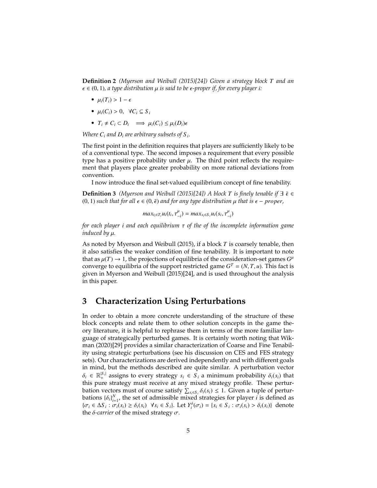**Definition 2** *(Myerson and Weibull (2015)[24]) Given a strategy block T and an*  $\epsilon \in (0, 1)$ , a type distribution  $\mu$  is said to be  $\epsilon$ -proper if, for every player *i*:

- $\mu_i(T_i) > 1 \epsilon$
- $\bullet$   $\mu_i(C_i) > 0$ ,  $\forall C_i \subseteq S_i$
- $T_i \neq C_i \subset D_i \implies \mu_i(C_i) \leq \mu_i(D_i)\epsilon$

*Where*  $C_i$  *and*  $D_i$  *are arbitrary subsets of*  $S_i$ *.* 

The first point in the definition requires that players are sufficiently likely to be of a conventional type. The second imposes a requirement that every possible type has a positive probability under  $\mu$ . The third point reflects the requirement that players place greater probability on more rational deviations from convention.

I now introduce the final set-valued equilibrium concept of fine tenability.

**Definition 3** *(Myerson and Weibull (2015)[24]) A block T is finely tenable if*  $\exists$   $\in$  ∈  $(0, 1)$  *such that for all*  $\epsilon \in (0, \bar{\epsilon})$  *and for any type distribution*  $\mu$  *that is*  $\epsilon$  − *proper*,

$$
max_{t_i \in T_i} u_i(t_i, \tau_{-i}^{\mu}) = max_{s_i \in S_i} u_i(s_i, \tau_{-i}^{\mu})
$$

*for each player <sup>i</sup> and each equilibrium* τ *of the of the incomplete information game induced by* µ*.*

As noted by Myerson and Weibull (2015), if a block *T* is coarsely tenable, then it also satisfies the weaker condition of fine tenability. It is important to note that as  $\mu(T) \to 1$ , the projections of equilibria of the consideration-set games  $G^{\mu}$ <br>converge to equilibria of the support restricted game  $G^{T} = (NT, \mu)$ . This fact is converge to equilibria of the support restricted game  $G^T = (N, T, u)$ . This fact is given in Myerson and Weibull (2015)[24], and is used throughout the analysis given in Myerson and Weibull (2015)[24], and is used throughout the analysis in this paper.

## **3 Characterization Using Perturbations**

In order to obtain a more concrete understanding of the structure of these block concepts and relate them to other solution concepts in the game theory literature, it is helpful to rephrase them in terms of the more familiar language of strategically perturbed games. It is certainly worth noting that Wikman (2020)[29] provides a similar characterization of Coarse and Fine Tenability using strategic perturbations (see his discussion on CES and FES strategy sets). Our characterizations are derived independently and with different goals in mind, but the methods described are quite similar. A perturbation vector  $\delta_i \in \mathbb{R}_+^{|S_i|}$  assigns to every strategy  $s_i \in S_i$  a minimum probability  $\delta_i(s_i)$  that this nure strategy must receive at any mixed strategy profile. These pertur-| this pure strategy must receive at any mixed strategy profile. These perturbation vectors must of course satisfy  $\sum_{s_i \in S_i} \delta_i(s_i) \leq 1$ . Given a tuple of pertur-<br>bations *i*<sub>δ</sub>*i*<sup>*N*</sup> the set of admissible mixed strategies for player *i* is defined as bations  $\{\delta_i\}_{i=1}^N$ , the set of admissible mixed strategies for player *i* is defined as  $\{\sigma_i \in \Delta S_i : \sigma_i(s_i) \ge \delta_i(s_i) \ \forall s_i \in S_i\}$ . Let  $Y_i^{\delta}(\sigma_i) = \{s_i \in S_i : \sigma_i(s_i) > \delta_i(s_i)\}\$  denote the *δ*-*carrier* of the mixed strategy  $σ$ .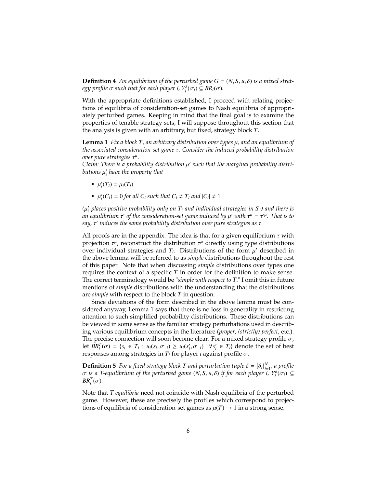**Definition 4** An equilibrium of the perturbed game  $G = (N, S, u, \delta)$  is a mixed strat $e$ *gy profile*  $\sigma$  *such that for each player i,*  $Y_i^{\delta}(\sigma_i) \subseteq BR_i(\sigma)$ *.* 

With the appropriate definitions established, I proceed with relating projections of equilibria of consideration-set games to Nash equilibria of appropriately perturbed games. Keeping in mind that the final goal is to examine the properties of tenable strategy sets, I will suppose throughout this section that the analysis is given with an arbitrary, but fixed, strategy block *T*.

**Lemma 1** *Fix a block <sup>T</sup>, an arbitrary distribution over types* µ*, and an equilibrium of the associated consideration-set game* τ*. Consider the induced probability distribution* over pure strategies τ<sup>μ</sup>.<br>Claim: There is a probe

*Claim: There is a probability distribution* μ' such that the marginal probability distri-<br>butions u' have the property that *butions* µ ′ *i have the property that*

- $\mu'_i(T_i) = \mu_i(T_i)$
- $\mu'_i(C_i) = 0$  *for all*  $C_i$  *such that*  $C_i \neq T_i$  *and*  $|C_i| \neq 1$

 $(\mu'_i$  places positive probability only on  $T_i$  and individual strategies in  $S_i$ ) and there is  $\mu_i$  *an equilibrium*  $\tau'$  of the consideration-set game induced by  $\mu'$  with  $\tau'' = \tau''$ . That is to *an equilibrium* τ' of the consideration-set game induced by μ' with τ<sup>µ</sup> = τ<sup>'μ</sup>. That is to<br>say τ' induces the same probability distribution over nure strategies as τ *say,* τ ′ *induces the same probability distribution over pure strategies as* τ*.*

All proofs are in the appendix. The idea is that for a given equilibrium  $\tau$  with projection  $\tau^{\mu}$ , reconstruct the distribution  $\tau^{\mu}$  directly using type distributions<br>over individual strategies and  $T$ . Distributions of the form  $\mu'$  described in over individual strategies and  $T_i$ . Distributions of the form  $\mu'$  described in the above lemma will be referred to as *simple* distributions throughout the rest the above lemma will be referred to as *simple* distributions throughout the rest of this paper. Note that when discussing *simple* distributions over types one requires the context of a specific *T* in order for the definition to make sense. The correct terminology would be "*simple with respect to T*." I omit this in future mentions of *simple* distributions with the understanding that the distributions are *simple* with respect to the block *T* in question.

Since deviations of the form described in the above lemma must be considered anyway, Lemma 1 says that there is no loss in generality in restricting attention to such simplified probability distributions. These distributions can be viewed in some sense as the familiar strategy perturbations used in describing various equilibrium concepts in the literature (*proper*, *(strictly) perfect*, etc.). The precise connection will soon become clear. For a mixed strategy profile  $\sigma$ , let  $BR_i^T(\sigma) = \{s_i \in T_i : u_i(s_i, \sigma_{-i}) \ge u_i(s'_i, \sigma_{-i}) \mid \forall s'_i \in T_i\}$  denote the set of best<br>responses among strategies in T, for player *i* against profile  $\sigma$ responses among strategies in  $T_i$  for player *i* against profile  $\sigma$ .

**Definition 5** *For a fixed strategy block T and perturbation tuple*  $\delta = {\delta_i}_i^N_{i=1}^N$ *, a profile*<br> $\sigma$  *is a T-equilibrium of the perturbed game* (N S *u*  $\delta$ ) *if for each player i*  $Y^{\delta}(\sigma) \subseteq$ *σ* is a T-equilibrium of the perturbed game (N, S, *u*, δ) if for each player *i*,  $Y_i^{\delta}(\sigma_i)$  ⊆  $BB^T(\sigma)$  $BR_i^T(\sigma)$ *.* 

Note that *T-equilibria* need not coincide with Nash equilibria of the perturbed game. However, these are precisely the profiles which correspond to projections of equilibria of consideration-set games as  $\mu(T) \rightarrow 1$  in a strong sense.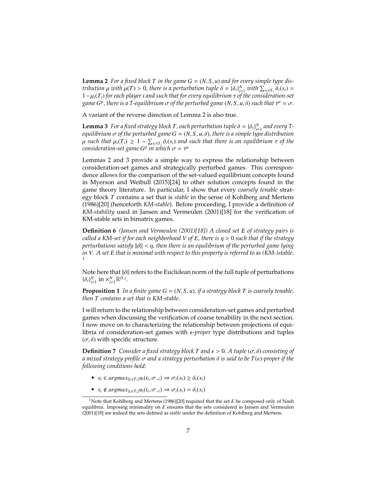**Lemma 2** For a fixed block T in the game  $G = (N, S, u)$  and for every simple type dis*tribution*  $\mu$  *with*  $\mu(T) > 0$ , there is a perturbation tuple  $\delta = {\delta_i}\big|_{i=1}^N$  *with*  $\sum_{s_i \in S_i} {\delta_i}(s_i) = 1 - \mu(T_i)$  for each player i and such that for every equilibrium  $\tau$  of the consideration-set <sup>1</sup>−µ*i*(*Ti*) *for each player <sup>i</sup> and such that for every equilibrium* τ *of the consideration-set*  $g$ ame  $G^{\mu}$ , there is a T-equilibrium  $\sigma$  of the perturbed game  $(N, S, u, \delta)$  such that  $\tau^{\mu} = \sigma$ .

A variant of the reverse direction of Lemma 2 is also true.

**Lemma 3** For a fixed strategy block *T*, each perturbation tuple  $\delta = {\delta_i}_i_{i=1}^N$  and every *T*-<br>equilibrium  $\sigma$  of the perturbed game  $G = (N, S, u, \delta)$ , there is a simple tupe distribution *equilibrium*  $\sigma$  *of the perturbed game*  $G = (N, S, u, \delta)$ *, there is a simple type distribution*  $\mu$  such that  $\mu_i(T_i) \geq 1 - \sum_{s_i \in S_i} \delta_i(s_i)$  and such that there is an equilibrium  $\tau$  of the consideration-set game  $G^{\mu}$  in which  $\tau = \tau^{\mu}$  $consideration\text{-}set\ game\ G^{\mu}\ in\ which\ \sigma=\tau^{\mu}$ 

Lemmas 2 and 3 provide a simple way to express the relationship between consideration-set games and strategically perturbed games. This correspondence allows for the comparison of the set-valued equilibrium concepts found in Myerson and Weibull (2015)[24] to other solution concepts found in the game theory literature. In particular, I show that every *coarsely tenable* strategy block *T* contains a set that is *stable* in the sense of Kohlberg and Mertens (1986)[20] (henceforth *KM-stable*). Before proceeding, I provide a definition of *KM-stability* used in Jansen and Vermeulen (2001)[18] for the verification of KM-stable sets in bimatrix games.

**Definition 6** *(Jansen and Vermeulen (2001)[18]) A closed set E of strategy pairs is called a KM-set if for each neighborhood V of E, there is*  $\eta > 0$  *such that if the strategy perturbations satisfy* ||δ|| < η*, then there is an equilibrium of the perturbed game lying in V. A set E that is minimal with respect to this property is referred to as (KM-)stable.* 1

Note here that ||δ|| refers to the Euclidean norm of the full tuple of perturbations  ${\{\delta_i\}}_{i=1}^N$  in  ${\times}_{i=1}^N \mathbb{R}^{|S_i|}$ .

**Proposition 1** *In a finite game*  $G = (N, S, u)$ *, if a strategy block*  $T$  *is coarsely tenable, then T contains a set that is KM-stable.*

I will return to the relationship between consideration-set games and perturbed games when discussing the verification of coarse tenability in the next section. I now move on to characterizing the relationship between projections of equilibria of consideration-set games with ϵ*-proper* type distributions and tuples  $(\sigma, \delta)$  with specific structure.

**Definition 7** *Consider a fixed strategy block T and*  $\epsilon > 0$ *. A tuple*  $(\sigma, \delta)$  *consisting of a mixed strategy profile* σ *and a strategy perturbation* δ *is said to be <sup>T</sup>*(ϵ)*-proper if the following conditions hold:*

- $\bullet$  *s<sub>i</sub>*∈ *argmax*<sub>{*t<sub>i</sub>*∈*T<sub>i</sub>*</sub>}*u*<sub>*i*</sub>(*t<sub>i</sub>*,  $\sigma$ <sub>−*i*</sub>) ⇒  $\sigma$ <sub>*i*</sub>(*s<sub>i</sub>*) ≥  $\delta$ <sub>*i*</sub>(*s<sub>i</sub>*)
- $s_i \notin argmax_{\{t_i \in T_i\}} u_i(t_i, \sigma_{-i}) \Rightarrow \sigma_i(s_i) = \delta_i(s_i)$

<sup>&</sup>lt;sup>1</sup>Note that Kohlberg and Mertens (1986)[20] required that the set *E* be composed only of Nash equilibria. Imposing minimality on *E* ensures that the sets considered in Jansen and Vermeulen (2001)[18] are indeed the sets defined as *stable* under the definition of Kohlberg and Mertens.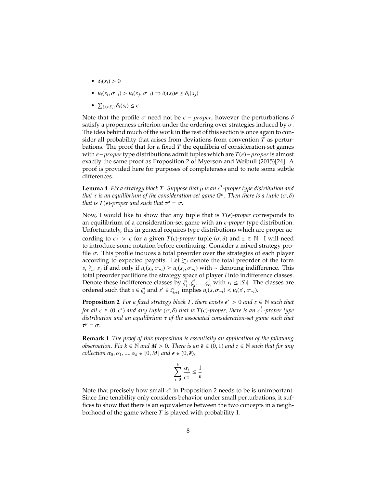- $\delta_i(s_i) > 0$
- $u_i(s_i, \sigma_{-i}) > u_i(s_j, \sigma_{-i}) \Rightarrow \delta_i(s_i) \in \geq \delta_i(s_j)$
- $\sum_{\{s_i \in S_i\}} \delta_i(s_i) \leq \epsilon$

Note that the profile  $\sigma$  need not be  $\epsilon$  – *proper*, however the perturbations  $\delta$ satisfy a properness criterion under the ordering over strategies induced by  $\sigma$ . The idea behind much of the work in the rest of this section is once again to consider all probability that arises from deviations from convention *T* as perturbations. The proof that for a fixed *T* the equilibria of consideration-set games with ϵ−*proper* type distributions admit tuples which are *<sup>T</sup>*(ϵ)−*proper* is almost exactly the same proof as Proposition 2 of Myerson and Weibull (2015)[24]. A proof is provided here for purposes of completeness and to note some subtle differences.

**Lemma 4** *Fix a strategy block T*. Suppose that  $\mu$  is an  $\epsilon^3$ -proper type distribution and that  $\tau$  is an equilibrium of the consideration-set game  $G^\mu$ . Then there is a tuple ( $\sigma$   $\delta$ ) *that* τ *is an equilibrium of the consideration-set game <sup>G</sup>* µ *. Then there is a tuple* (σ, δ) *that is*  $T(\epsilon)$ -proper and such that  $\tau^{\mu} = \sigma$ .

Now, I would like to show that any tuple that is  $T(\epsilon)$ *-proper* corresponds to an equilibrium of a consideration-set game with an  $\epsilon$ -proper type distribution. Unfortunately, this in general requires type distributions which are proper according to  $\epsilon^{\frac{1}{2}} > \epsilon$  for a given  $T(\epsilon)$ *-proper* tuple  $(\sigma, \delta)$  and  $z \in \mathbb{N}$ . I will need to introduce some notation before continuing. Consider a mixed strategy proto introduce some notation before continuing. Consider a mixed strategy profile  $\sigma$ . This profile induces a total preorder over the strategies of each player according to expected payoffs. Let  $\succsim_i$  denote the total preorder of the form  $s_i \succsim_i s_j$  if and only if  $u_i(s_i, \sigma_{-i}) \ge u_i(s_j, \sigma_{-i})$  with ∼ denoting indifference. This total preorder partitions the strategy space of player *i* into indifference classes. Denote these indifference classes by  $\zeta_1^i, \zeta_2^i, ..., \zeta_n^i$  with  $r_i \leq |S_i|$ . The classes are ordered such that  $s \in \zeta^i$  and  $s' \in \zeta^i$  implies  $u(s \subset \zeta) \leq u(s' \subset \zeta)$ . ordered such that  $s \in \zeta_k^i$  and  $s' \in \zeta_{k+1}^i$  implies  $u_i(s, \sigma_{-i}) < u_i(s', \sigma_{-i})$ .

**Proposition 2** *For a fixed strategy block T, there exists*  $\epsilon^* > 0$  *and*  $z \in \mathbb{N}$  *such that*  $\epsilon_{\text{max}} = 0$   $\epsilon^*$  and  $\epsilon^*$   $\epsilon^*$   $\epsilon^*$   $\epsilon^*$   $\epsilon^*$   $\epsilon^*$   $\epsilon^*$   $\epsilon^*$   $\epsilon^*$   $\epsilon^*$   $\epsilon^*$   $\epsilon^*$   $\epsilon^*$  *for all*  $\epsilon \in (0, \epsilon^*)$  *and any tuple*  $(\sigma, \delta)$  *that is*  $T(\epsilon)$ *-proper, there is an*  $\epsilon^{\frac{1}{2}}$ *-proper type*<br>*distribution and an equilibrium*  $\tau$  of the associated consideration-set game such that *distribution and an equilibrium* τ *of the associated consideration-set game such that*  $\tau^{\mu} = \sigma.$ 

**Remark 1** *The proof of this proposition is essentially an application of the following observation.* Fix  $k \in \mathbb{N}$  and  $M > 0$ . There is an  $\bar{\epsilon} \in (0, 1)$  and  $z \in \mathbb{N}$  such that for any *collection*  $\alpha_0, \alpha_1, ..., \alpha_k \in [0, M]$  *and*  $\epsilon \in (0, \bar{\epsilon})$ *,* 

$$
\sum_{i=0}^k \frac{\alpha_i}{\epsilon^{\frac{1}{z}}} \leq \frac{1}{\epsilon}
$$

Note that precisely how small  $\epsilon^*$  in Proposition 2 needs to be is unimportant.<br>Since tipe tenshility only considers behavior under small perturbations, it suf-Since fine tenability only considers behavior under small perturbations, it suffices to show that there is an equivalence between the two concepts in a neighborhood of the game where *T* is played with probability 1.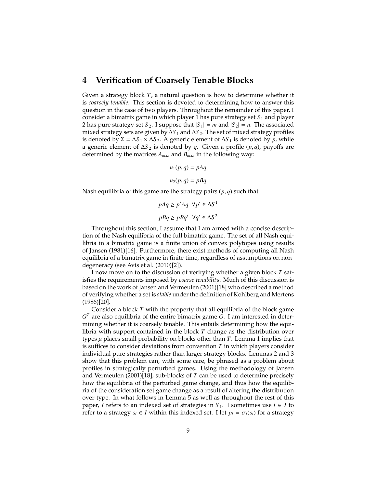## **4 Verification of Coarsely Tenable Blocks**

Given a strategy block *T*, a natural question is how to determine whether it is *coarsely tenable*. This section is devoted to determining how to answer this question in the case of two players. Throughout the remainder of this paper, I consider a bimatrix game in which player 1 has pure strategy set  $S_1$  and player 2 has pure strategy set *S*<sub>2</sub>. I suppose that  $|S_1| = m$  and  $|S_2| = n$ . The associated mixed strategy sets are given by ∆*S* <sup>1</sup> and ∆*S* <sup>2</sup>. The set of mixed strategy profiles is denoted by  $\Sigma = \Delta S_1 \times \Delta S_2$ . A generic element of  $\Delta S_1$  is denoted by *p*, while a generic element of <sup>∆</sup>*<sup>S</sup>* <sup>2</sup> is denoted by *<sup>q</sup>*. Given a profile (*p*, *<sup>q</sup>*), payoffs are determined by the matrices *Amxn* and *Bmxn* in the following way:

$$
u_1(p,q) = pAq
$$

$$
u_2(p,q) = pBq
$$

Nash equilibria of this game are the strategy pairs (*p*, *<sup>q</sup>*) such that

$$
pAq \ge p'Aq \ \forall p' \in \Delta S^1
$$
  

$$
pBq \ge pBq' \ \forall q' \in \Delta S^2
$$

Throughout this section, I assume that I am armed with a concise description of the Nash equilibria of the full bimatrix game. The set of all Nash equilibria in a bimatrix game is a finite union of convex polytopes using results of Jansen (1981)[16]. Furthermore, there exist methods of computing all Nash equilibria of a bimatrix game in finite time, regardless of assumptions on nondegeneracy (see Avis et al. (2010)[2]).

I now move on to the discussion of verifying whether a given block *T* satisfies the requirements imposed by *coarse tenability*. Much of this discussion is based on the work of Jansen and Vermeulen (2001)[18] who described a method of verifying whether a set is *stable* under the definition of Kohlberg and Mertens (1986)[20].

Consider a block *T* with the property that all equilibria of the block game *G <sup>T</sup>* are also equilibria of the entire bimatrix game *G*. I am interested in determining whether it is coarsely tenable. This entails determining how the equilibria with support contained in the block *T* change as the distribution over types  $\mu$  places small probability on blocks other than  $T$ . Lemma 1 implies that is suffices to consider deviations from convention *T* in which players consider individual pure strategies rather than larger strategy blocks. Lemmas 2 and 3 show that this problem can, with some care, be phrased as a problem about profiles in strategically perturbed games. Using the methodology of Jansen and Vermeulen (2001)[18], sub-blocks of *T* can be used to determine precisely how the equilibria of the perturbed game change, and thus how the equilibria of the consideration set game change as a result of altering the distribution over type. In what follows in Lemma 5 as well as throughout the rest of this paper, *I* refers to an indexed set of strategies in  $S_1$ . I sometimes use  $i \in I$  to refer to a strategy  $s_i \in I$  within this indexed set. I let  $p_i = \sigma_i(s_i)$  for a strategy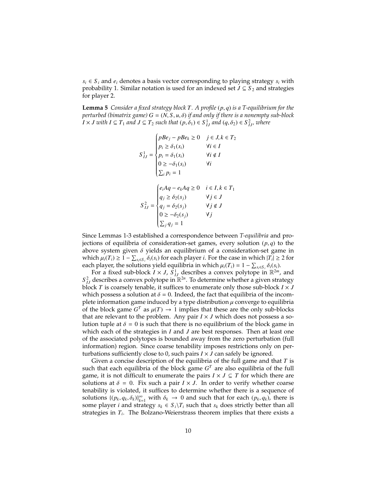$s_i \in S_i$  and  $e_i$  denotes a basis vector corresponding to playing strategy  $s_i$  with probability 1. Similar notation is used for an indexed set  $J \subseteq S_2$  and strategies for player 2.

**Lemma 5** *Consider a fixed strategy block <sup>T</sup>. A profile* (*p*, *<sup>q</sup>*) *is a T-equilibrium for the perturbed (bimatrix game)*  $G = (N, S, u, \delta)$  *if and only if there is a nonempty sub-block*  $I \times J$  *with*  $I \subseteq T_1$  *and*  $J \subseteq T_2$  *such that*  $(p, \delta_1) \in S^1_{IJ}$  *and*  $(q, \delta_2) \in S^2_{IJ}$ *, where* 

$$
S_{IJ}^1 = \begin{cases} pBe_j - pBe_k \ge 0 & j \in J, k \in T_2 \\ p_i \ge \delta_1(s_i) & \forall i \in I \\ p_i = \delta_1(s_i) & \forall i \notin I \\ 0 \ge -\delta_1(s_i) & \forall i \\ \sum_i p_i = 1 \end{cases}
$$
  

$$
S_{IJ}^2 = \begin{cases} e_i Aq - e_k Aq \ge 0 & i \in I, k \in T_1 \\ q_j \ge \delta_2(s_j) & \forall j \in J \\ q_j = \delta_2(s_j) & \forall j \notin J \\ 0 \ge -\delta_2(s_j) & \forall j \notin J \\ \sum_j q_j = 1 \end{cases}
$$

Since Lemmas 1-3 established a correspondence between *T-equilibria* and projections of equilibria of consideration-set games, every solution  $(p, q)$  to the above system given  $\delta$  yields an equilibrium of a consideration-set game in which  $\mu_i(T_i) \geq 1 - \sum_{s_i \in S_i} \delta_i(s_i)$  for each player *i*. For the case in which  $|T_i| \geq 2$  for each player the solutions vield equilibria in which  $\mu(T_i) = 1 - \sum_{s_i} \delta_i(s_i)$ each player, the solutions yield equilibria in which  $\mu_i(T_i) = 1 - \sum_{s_i \in S_i} \delta_i(s_i)$ .<br>For a fixed sub-block  $I \times I$ ,  $S^1$  describes a convex polytone in  $\mathbb{R}^{2m}$ .

For a fixed sub-block  $I \times J$ ,  $S^1_{IJ}$  describes a convex polytope in  $\mathbb{R}^{2m}$ , and  $S_{IJ}^2$  describes a convex polytope in  $\mathbb{R}^{2n}$ . To determine whether a given strategy block *T* is coarsely tenable, it suffices to enumerate only those sub-block  $I \times J$ which possess a solution at  $\delta = 0$ . Indeed, the fact that equilibria of the incomplete information game induced by a type distribution  $\mu$  converge to equilibria of the block game  $G^T$  as  $\mu(T) \to 1$  implies that these are the only sub-blocks<br>that are relevant to the problem. Any pair  $I \times I$  which does not possess a sothat are relevant to the problem. Any pair  $I \times J$  which does not possess a solution tuple at  $\delta = 0$  is such that there is no equilibrium of the block game in which each of the strategies in *I* and *J* are best responses. Then at least one of the associated polytopes is bounded away from the zero perturbation (full information) region. Since coarse tenability imposes restrictions only on perturbations sufficiently close to 0, such pairs  $I \times J$  can safely be ignored.

Given a concise description of the equilibria of the full game and that *T* is such that each equilibria of the block game  $G<sup>T</sup>$  are also equilibria of the full game, it is not difficult to enumerate the pairs  $I \times J \subseteq T$  for which there are solutions at  $\delta = 0$ . Fix such a pair  $I \times J$ . In order to verify whether coarse tenability is violated, it suffices to determine whether there is a sequence of solutions  $\{(p_k, q_k, \delta_k)\}_{k=1}^{\infty}$  with  $\delta_k \to 0$  and such that for each  $(p_k, q_k)$ , there is some player *i* and strategy  $s_k \in S_i \backslash T_i$  such that  $s_k$  does strictly better than all strategies in *T<sup>i</sup>* . The Bolzano-Weierstrass theorem implies that there exists a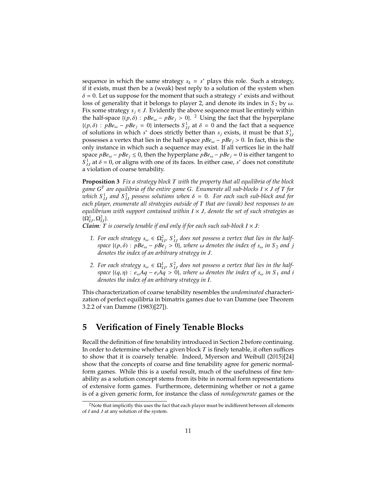sequence in which the same strategy  $s_k = s^*$  plays this role. Such a strategy, if it exists, must then be a (weak) best reply to a solution of the system when  $\delta$  = 0. Let us suppose for the moment that such a strategy  $s^*$  exists and without loss of generality that it belongs to player 2, and denote its index in S<sub>e</sub> by  $\omega$ loss of generality that it belongs to player 2, and denote its index in  $S_2$  by  $\omega$ . Fix some strategy  $s_i \in J$ . Evidently the above sequence must lie entirely within the half-space  $\{(p,\delta) : pBe_{\omega} - pBe_j > 0\}$ . <sup>2</sup> Using the fact that the hyperplane  $\{(p, \delta) : p\overline{Be}_\omega - pBe_j = 0\}$  intersects  $S^1_{IJ}$  at  $\delta = 0$  and the fact that a sequence of solutions in which  $s^*$  does strictly better than subjects it must be that  $S^1$ of solutions in which  $s^*$  does strictly better than  $s_j$  exists, it must be that  $S^1_{IJ}$ possesses a vertex that lies in the half space *pBe*ω <sup>−</sup> *pBe<sup>j</sup>* <sup>&</sup>gt; <sup>0</sup>. In fact, this is the only instance in which such a sequence may exist. If all vertices lie in the half space  $pBe_{\omega} - pBe_j \leq 0$ , then the hyperplane  $pBe_{\omega} - pBe_j = 0$  is either tangent to  $S_{1J}^1$  at  $\delta = 0$ , or aligns with one of its faces. In either case, *s*<sup>\*</sup> does not constitute a violation of coarse tenability.

**Proposition 3** *Fix a strategy block T with the property that all equilibria of the block game G T are equilibria of the entire game G. Enumerate all sub-blocks I* × *J of T for which*  $S_{IJ}^1$  and  $S_{IJ}^2$  possess solutions when  $\delta = 0$ . For each such sub-block and for<br>each player enumerate all strategies outside of T that are (weak) best responses to an *each player, enumerate all strategies outside of T that are (weak) best responses to an equilibrium with support contained within I* × *J, denote the set of such strategies as*  $\{\Omega^1_{IJ}, \Omega^2_{IJ}\}.$ <br>*Claim*  $T$ 

*Claim: T is coarsely tenable if and only if for each such sub-block*  $I \times J$ *:* 

- 1. For each strategy  $s_{\omega} \in \Omega_{IJ}^2$ ,  $S_{IJ}^1$  does not possess a vertex that lies in the half-<br>
cross  $(n, \delta)$ :  $nR_2 \geq 0$ ,  $nR_3 \geq 0$ , where  $\omega$  denotes the index of  $s$ , in  $S$ , and i *space*  $\{(p, \delta) : pBe_{\omega} - pBe_j > 0\}$ , where  $\omega$  denotes the index of  $s_{\omega}$  in  $S_2$  and j *denotes the index of an arbitrary strategy in J.*
- 2. For each strategy  $s_{\omega} \in \Omega_{IJ}^1$ ,  $S_{IJ}^2$  does not possess a vertex that lies in the half-<br> *z z i s a d s o l s o l s i d s i d i d i d i d i d s i i s s space*  $\{(q, \eta) : e_\omega Aq - e_iAq > 0\}$ *, where*  $\omega$  *denotes the index of*  $s_\omega$  *in*  $S_1$  *and i denotes the index of an arbitrary strategy in I.*

This characterization of coarse tenability resembles the *undominated* characterization of perfect equilibria in bimatrix games due to van Damme (see Theorem 3.2.2 of van Damme (1983)[27]).

## **5 Verification of Finely Tenable Blocks**

Recall the definition of fine tenability introduced in Section 2 before continuing. In order to determine whether a given block *T* is finely tenable, it often suffices to show that it is coarsely tenable. Indeed, Myerson and Weibull (2015)[24] show that the concepts of coarse and fine tenability agree for generic normalform games. While this is a useful result, much of the usefulness of fine tenability as a solution concept stems from its bite in normal form representations of extensive form games. Furthermore, determining whether or not a game is of a given generic form, for instance the class of *nondegenerate* games or the

<sup>&</sup>lt;sup>2</sup>Note that implicitly this uses the fact that each player must be indifferent between all elements of *I* and *J* at any solution of the system.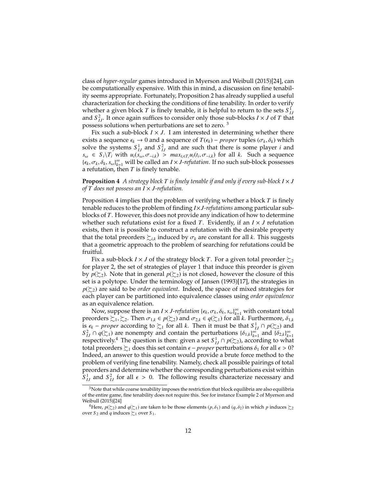class of *hyper-regular* games introduced in Myerson and Weibull (2015)[24], can be computationally expensive. With this in mind, a discussion on fine tenability seems appropriate. Fortunately, Proposition 2 has already supplied a useful characterization for checking the conditions of fine tenability. In order to verify whether a given block *T* is finely tenable, it is helpful to return to the sets  $S^1_{IJ}$ and  $S_{IJ}^2$ . It once again suffices to consider only those sub-blocks  $I \times J$  of  $T$  that possess solutions when perturbations are set to zero. <sup>3</sup>

Fix such a sub-block  $I \times J$ . I am interested in determining whether there exists a sequence  $\epsilon_k$  → 0 and a sequence of *T*( $\epsilon_k$ ) – *proper* tuples ( $\sigma_k$ ,  $\delta_k$ ) which solve the systems  $S_{IJ}^1$  and  $S_{IJ}^2$  and are such that there is some player *i* and  $s_{\omega} \in S_i \backslash T_i$  with  $u_i(s_{\omega}, \sigma_{-i,k}) > max_{i_i \in T_i} u_i(t_i, \sigma_{-i,k})$  for all k. Such a sequence  ${\{\epsilon_k, \sigma_k, \delta_k, s_\omega\}_{k=1}^\infty}$  will be called an *I* × *J-refutation*. If no such sub-block possesses a refutation then *T* is finaly tanable a refutation, then *T* is finely tenable.

**Proposition 4** *A strategy block T is finely tenable if and only if every sub-block*  $I \times J$ *of T does not possess an I* × *J-refutation.*

Proposition 4 implies that the problem of verifying whether a block *T* is finely tenable reduces to the problem of finding *I*×*J-refutations* among particular subblocks of *T*. However, this does not provide any indication of how to determine whether such refutations exist for a fixed *T*. Evidently, if an  $I \times J$  refutation exists, then it is possible to construct a refutation with the desirable property that the total preorders  $\succsim_{i,k}$  induced by  $\sigma_k$  are constant for all *k*. This suggests that a geometric approach to the problem of searching for refutations could be fruitful.

Fix a sub-block *I* × *J* of the strategy block *T*. For a given total preorder  $\succsim_2$ for player 2, the set of strategies of player 1 that induce this preorder is given by  $p(\succeq_2)$ . Note that in general  $p(\succeq_2)$  is not closed, however the closure of this set is a polytope. Under the terminology of Jansen (1993)[17], the strategies in *p*(≿<sub>2</sub>) are said to be *order equivalent*. Indeed, the space of mixed strategies for each player can be partitioned into equivalence classes using *order equivalence* as an equivalence relation.

Now, suppose there is an  $I \times J$ *-refutation* { $\epsilon_k$ ,  $\sigma_k$ ,  $\delta_k$ ,  $s_\omega$ } $_{k=1}^\infty$  with constant total orders  $\succeq_k \succeq_k \succeq_k \succeq_k \tau_k \succeq_k \tau_k \succeq_k \tau_k \succeq_k \tau_k \succeq_k \tau_k \succeq_k \tau_k \succeq_k \tau_k \succeq_k \tau_k \succeq_k \tau_k \succeq_k \tau_k \s$ preorders  $\succsim_1, \succsim_2$ . Then  $\sigma_{1,k} \in p(\succsim_2)$  and  $\sigma_{2,k} \in q(\succsim_1)$  for all *k*. Furthermore,  $\delta_{1,k}$ **is**  $\epsilon_k$  − *proper* according to  $\succsim$ <sub>1</sub> for all *k*. Then it must be that  $S^1_{IJ} \cap p(\succsim_2)$  and  $S^2 \cap q(\succsim_1)$  are nonempty and contain the perturbations  $\{S_{i,j}\}^{\infty}$  and  $\{S_{i,j}\}^{\infty}$  $S_{1J}^2 \cap q(\Sigma_1)$  are nonempty and contain the perturbations  $\{\delta_{1,k}\}_{k=1}^{\infty}$  and  $\{\delta_{2,k}\}_{k=1}^{\infty}$ <br>respectively<sup>4</sup>. The question is then: given a set  $S^1 \cap n(\Sigma_2)$  according to what respectively.<sup>4</sup> The question is then: given a set  $S^1_{IJ} \cap p(\succsim_2)$ , according to what total preorders  $\succsim_1$  does this set contain  $\epsilon$  – *proper* perturbations  $\delta_1$  for all  $\epsilon$  > 0? Indeed, an answer to this question would provide a brute force method to the problem of verifying fine tenability. Namely, check all possible pairings of total preorders and determine whether the corresponding perturbations exist within  $S_{IJ}^1$  and  $S_{IJ}^2$  for all  $\epsilon > 0$ . The following results characterize necessary and

 $3$ Note that while coarse tenability imposes the restriction that block equilibria are also equilibria of the entire game, fine tenability does not require this. See for instance Example 2 of Myerson and Weibull (2015)[24]

<sup>&</sup>lt;sup>4</sup>Here,  $p(\succsim_2)$  and  $q(\succsim_1)$  are taken to be those elements  $(p, \delta_1)$  and  $(q, \delta_2)$  in which  $p$  induces  $\succsim_2$ over *S*<sub>2</sub> and *q* induces  $\succsim_1$  over *S*<sub>1</sub>.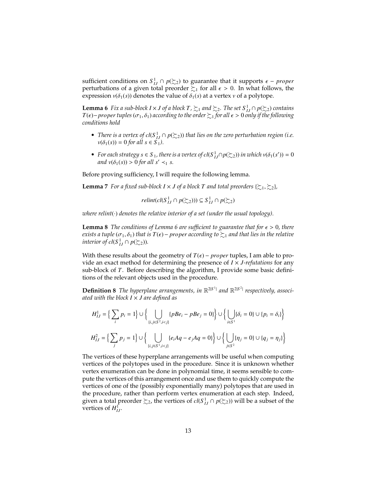sufficient conditions on  $S^1_{IJ} \cap p(\Sigma_2)$  to guarantee that it supports  $\epsilon$  – *proper*<br>perturbations of a given total preorder  $\succeq$ , for all  $\epsilon > 0$ . In what follows, the perturbations of a given total preorder  $\succsim$ 1 for all  $\epsilon > 0$ . In what follows, the expression  $v(\delta_1(s))$  denotes the value of  $\delta_1(s)$  at a vertex  $v$  of a polytope.

**Lemma 6** *Fix a sub-block*  $I \times J$  *of a block*  $T$ *,*  $\succsim$ <sub>1</sub> *and*  $\succsim$ <sub>2</sub>*. The set*  $S$ <sup>1</sup><sub>*IJ*</sub>  $\cap$   $p(\succsim$ <sub>2</sub> $)$  *contains T*( $\epsilon$ )−*proper tuples* ( $\sigma_1$ , $\delta_1$ ) *according to the order*  $\succeq$ <sub>1</sub> *for all*  $\epsilon$  > 0 *only if the following conditions hold*

- *There is a vertex of*  $cl(S^1_{IJ} \cap p(\succeq_2))$  *that lies on the zero perturbation region (i.e.*  $v(\delta_1(s)) = 0$  *for all*  $s \in S_1$ *)*.
- *For each strategy*  $s \in S_1$ , there is a vertex of  $cl(S_{IJ}^1 \cap p(\succeq_2))$  in which  $v(\delta_1(s')) = 0$ <br>and  $v(\delta_1(s)) > 0$  for all  $s' > s$ . *and*  $v(\delta_1(s)) > 0$  *for all*  $s' <_1 s$ *.*

Before proving sufficiency, I will require the following lemma.

**Lemma** 7 *For a fixed sub-block*  $I \times J$  *of a block T and total preorders* { $\succsim 1$ *,*  $\succsim 2$ *},* 

*relint*(*cl*( $S$ <sup>1</sup> $I$ </sup>*J* ∩ *p*( $\succsim$ 2))) ⊆  $S$ <sup>1</sup> $I$ <sub>*J*</sub> ∩ *p*( $\succsim$ 2)

*where relint*(·) *denotes the relative interior of a set (under the usual topology).*

**Lemma 8** *The conditions of Lemma 6 are sufficient to guarantee that for*  $\epsilon > 0$ *, there exists a tuple* ( $\sigma_1$ ,  $\delta_1$ ) *that is*  $T(\epsilon)$  – *proper according to*  $\succsim_1$  *and that lies in the relative interior of cl*( $S$ <sup>1</sup> $I$ *J*  $\cap$  *p*( $\succsim$ 2)).

With these results about the geometry of  $T(\epsilon)$  – *proper* tuples, I am able to provide an exact method for determining the presence of  $I \times J$ *-refutations* for any sub-block of *T*. Before describing the algorithm, I provide some basic definitions of the relevant objects used in the procedure.

**Definition 8** The hyperplane arrangements, in  $\mathbb{R}^{2|S^1|}$  and  $\mathbb{R}^{2|S^2|}$  respectively, associ-| *ated with the block I* × *J are defined as*

$$
H_{IJ}^1 = \left\{ \sum_i p_i = 1 \right\} \cup \left\{ \bigcup_{\{i,j \in S^2, i < j\}} \{pBe_i - pBe_j = 0\} \right\} \cup \left\{ \bigcup_{i \in S^1} \{\delta_i = 0\} \cup \{p_i = \delta_i\} \right\}
$$
\n
$$
H_{IJ}^2 = \left\{ \sum_j p_j = 1 \right\} \cup \left\{ \bigcup_{\{i,j \in S^1, i < j\}} \{e_i Aq - e_j Aq = 0\} \right\} \cup \left\{ \bigcup_{j \in S^2} \{\eta_j = 0\} \cup \{q_j = \eta_j\} \right\}
$$

The vertices of these hyperplane arrangements will be useful when computing vertices of the polytopes used in the procedure. Since it is unknown whether vertex enumeration can be done in polynomial time, it seems sensible to compute the vertices of this arrangement once and use them to quickly compute the vertices of one of the (possibly exponentially many) polytopes that are used in the procedure, rather than perform vertex enumeration at each step. Indeed, given a total preorder  $\succsim_2$ , the vertices of  $\textit{cl}(S^1_{IJ} \cap p(\succeq_2))$  will be a subset of the vertices of  $H^1_{IJ}$ .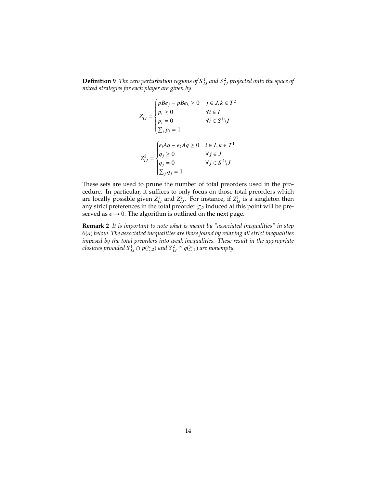**Definition 9** The zero perturbation regions of  $S<sup>1</sup><sub>IJ</sub>$  and  $S<sup>2</sup><sub>IJ</sub>$  projected onto the space of *mixed strategies for each player are given by*

$$
Z_{IJ}^1 = \begin{cases} pBe_j - pBe_k \ge 0 & j \in J, k \in T^2 \\ p_i \ge 0 & \forall i \in I \\ p_i = 0 & \forall i \in S^1 \setminus I \\ \sum_i p_i = 1 & \\ Z_{IJ}^2 = \begin{cases} e_iAq - e_kAq \ge 0 & i \in I, k \in T^1 \\ q_j \ge 0 & \forall j \in J \\ q_j = 0 & \forall j \in S^2 \setminus J \\ \sum_j q_j = 1 & \end{cases}
$$

These sets are used to prune the number of total preorders used in the procedure. In particular, it suffices to only focus on those total preorders which are locally possible given  $Z_{IJ}^1$  and  $Z_{IJ}^2$ . For instance, if  $Z_{IJ}^1$  is a singleton then any strict preferences in the total preorder  $\succsim$ 2 induced at this point will be preserved as  $\epsilon \to 0$ . The algorithm is outlined on the next page.

**Remark 2** *It is important to note what is meant by "associated inequalities" in step* 6(*a*) *below. The associated inequalities are those found by relaxing all strict inequalities imposed by the total preorders into weak inequalities. These result in the appropriate closures provided*  $S_{IJ}^1 \cap p(\succeq_2)$  *and*  $S_{IJ}^2 \cap q(\succeq_1)$  *are nonempty.*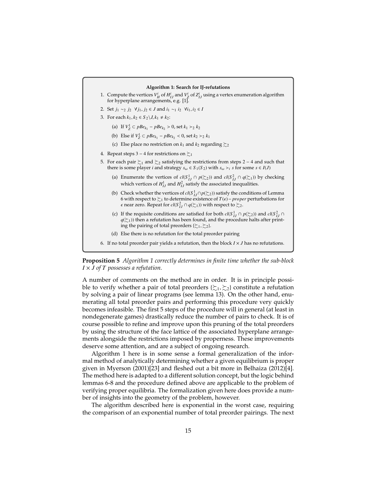#### **Algorithm 1: Search for IJ-refutations**

- 1. Compute the vertices  $V_H^i$  of  $H_{IJ}^i$  and  $V_Z^i$  of  $Z_{IJ}^i$  using a vertex enumeration algorithm for hyperplane arrangements, e.g. [1].
- 2. Set *<sup>j</sup>*<sup>1</sup> <sup>∼</sup><sup>2</sup> *<sup>j</sup>*<sup>2</sup> <sup>∀</sup> *<sup>j</sup>*1, *<sup>j</sup>*<sup>2</sup> <sup>∈</sup> *<sup>J</sup>* and *<sup>i</sup>*<sup>1</sup> <sup>∼</sup><sup>1</sup> *<sup>i</sup>*<sup>2</sup> <sup>∀</sup>*i*1, *<sup>i</sup>*<sup>2</sup> <sup>∈</sup> *<sup>I</sup>*
- 3. For each  $k_1, k_2 \in S_2 \setminus J, k_1 \neq k_2$ :
	- (a) If  $V_Z^1 \subset pBe_{k_1} pBe_{k_2} > 0$ , set  $k_1 >_2 k_2$
	- (b) Else if  $V_Z^1 \subset pBe_{k_1} pBe_{k_2} < 0$ , set  $k_2 >_2 k_1$
	- (c) Else place no restriction on  $k_1$  and  $k_2$  regarding  $\succsim 2$
- 4. Repeat steps 3 4 for restrictions on  $\succsim_1$
- 5. For each pair  $\succsim_1$  and  $\succsim_2$  satisfying the restrictions from steps 2 − 4 and such that there is some player *i* and strategy  $s_{\omega} \in S_1(S_2)$  with  $s_{\omega} > i$  *s* for some  $s \in I(J)$ 
	- (a) Enumerate the vertices of  $cl(S^1_{IJ} \cap p(\succeq_2))$  and  $cl(S^2_{IJ} \cap q(\succeq_1))$  by checking which vertices of  $H_{IJ}^1$  and  $H_{IJ}^2$  satisfy the associated inequalities.
	- (b) Check whether the vertices of  $cl(S^1_{IJ} \cap p(\succsim_2))$  satisfy the conditions of Lemma 6 with respect to <sup>≿</sup><sup>1</sup> to determine existence of *<sup>T</sup>*(ϵ)<sup>−</sup> *proper* perturbations for  $\epsilon$  near zero. Repeat for  $\textit{cl}(S^2_{IJ} \cap q(\succsim_1))$  with respect to  $\succsim_2$ .
	- (c) If the requisite conditions are satisfied for both  $cl(S_{IJ}^1 \cap p(\succeq_2))$  and  $cl(S_{IJ}^2 \cap p(\succeq_2))$  $q(\succsim_1)$ ) then a refutation has been found, and the procedure halts after printing the pairing of total preorders { $\succsim_1$ ,  $\succsim_2$ }.
	- (d) Else there is no refutation for the total preorder pairing
- 6. If no total preorder pair yields a refutation, then the block  $I \times J$  has no refutations.

**Proposition 5** *Algorithm 1 correctly determines in finite time whether the sub-block I* × *J of T possesses a refutation.*

A number of comments on the method are in order. It is in principle possible to verify whether a pair of total preorders  $\{\xi_1, \xi_2\}$  constitute a refutation by solving a pair of linear programs (see lemma 13). On the other hand, enumerating all total preorder pairs and performing this procedure very quickly becomes infeasible. The first 5 steps of the procedure will in general (at least in nondegenerate games) drastically reduce the number of pairs to check. It is of course possible to refine and improve upon this pruning of the total preorders by using the structure of the face lattice of the associated hyperplane arrangements alongside the restrictions imposed by properness. These improvements deserve some attention, and are a subject of ongoing research.

Algorithm 1 here is in some sense a formal generalization of the informal method of analytically determining whether a given equilibrium is proper given in Myerson (2001)[23] and fleshed out a bit more in Belhaiza (2012)[4]. The method here is adapted to a different solution concept, but the logic behind lemmas 6-8 and the procedure defined above are applicable to the problem of verifying proper equilibria. The formalization given here does provide a number of insights into the geometry of the problem, however.

The algorithm described here is exponential in the worst case, requiring the comparison of an exponential number of total preorder pairings. The next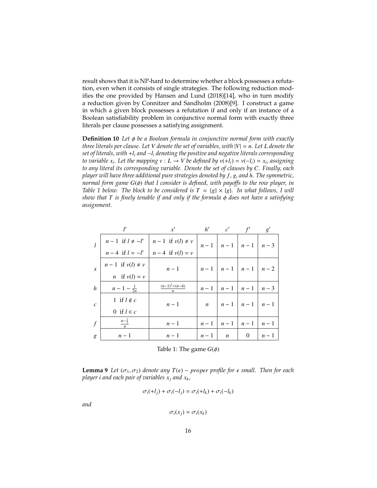result shows that it is NP-hard to determine whether a block possesses a refutation, even when it consists of single strategies. The following reduction modifies the one provided by Hansen and Lund (2018)[14], who in turn modify a reduction given by Connitzer and Sandholm (2008)[9]. I construct a game in which a given block possesses a refutation if and only if an instance of a Boolean satisfiability problem in conjunctive normal form with exactly three literals per clause possesses a satisfying assignment.

**Definition 10** *Let* φ *be a Boolean formula in conjunctive normal form with exactly three literals per clause. Let V denote the set of variables, with* |*V*| = *n. Let L denote the set of literals, with* +*l<sup>i</sup> and* −*l<sup>i</sup> denoting the positive and negative literals corresponding to variable*  $x_i$ *. Let the mapping*  $v$  *∶ L* → *V be defined by*  $v$ (+*l*<sub>*i*</sub>) =  $v$ (−*l*<sub>*i*</sub>) =  $x_i$ *, assigning to any literal its corresponding variable. Denote the set of clauses by C. Finally, each player will have three additional pure strategies denoted by f , g, and h. The symmetric, normal form game G*( $φ$ ) *that I consider is defined, with payoffs to the row player, in Table 1 below. The block to be considered is*  $T = \{g\} \times \{g\}$ *. In what follows, I will show that*  $T$  *is finely tenable if and only if the formula*  $\phi$  *does not have a satisfying assignment.*

|                  | ľ                                                                                      | x'                  |       |                  | $h'$ $c'$ $f'$                                        | g'    |
|------------------|----------------------------------------------------------------------------------------|---------------------|-------|------------------|-------------------------------------------------------|-------|
|                  | $n-1$ if $l \neq -l'$ $n-1$ if $v(l) \neq v$<br>$n-4$ if $l = -l'$ $n-4$ if $v(l) = v$ |                     |       |                  | $\left  n-1 \right $ $n-1$ $\left  n-1 \right $ $n-3$ |       |
|                  |                                                                                        | $n-4$ if $v(l) = v$ |       |                  |                                                       |       |
| $\boldsymbol{x}$ | $n-1$ if $v(l) \neq v$                                                                 | $n-1$               |       |                  | $n-1$ $n-1$ $n-1$ $n-2$                               |       |
|                  | <i>n</i> if $v(l) = v$                                                                 |                     |       |                  |                                                       |       |
| $\boldsymbol{h}$ | $n-1-\frac{1}{2n}$                                                                     | $(n-1)^2 + (n-4)$   | $n-1$ | $n-1$            | $n-1$                                                 | $n-3$ |
| $\mathcal{C}$    | 1 if $l \notin c$                                                                      | $n-1$               |       |                  | $n \mid n-1 \mid n-1 \mid n-1$                        |       |
|                  | 0 if $l \in c$                                                                         |                     |       |                  |                                                       |       |
| $\int$           | $n - \frac{1}{2}$                                                                      | $n-1$               | $n-1$ | $n-1$            | $n-1$                                                 | $n-1$ |
| g                | $n-1$                                                                                  | $n-1$               | $n-1$ | $\boldsymbol{n}$ | $\theta$                                              | $n-1$ |

Table 1: The game  $G(\phi)$ 

**Lemma 9** *Let*  $(\sigma_1, \sigma_2)$  *denote any*  $T(\epsilon)$  – *proper profile for*  $\epsilon$  *small. Then for each player i and each pair of variables*  $x_i$  *and*  $x_k$ *,* 

$$
\sigma_i(+l_j) + \sigma_i(-l_j) = \sigma_i(+l_k) + \sigma_i(-l_k)
$$

*and*

$$
\sigma_i(x_j)=\sigma_i(x_k)
$$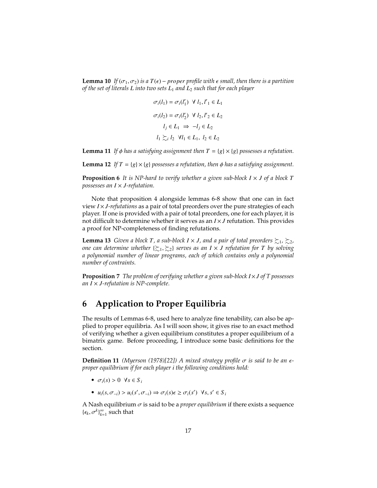**Lemma 10** *If* ( $\sigma_1, \sigma_2$ ) *is a*  $T(\epsilon)$  – *proper profile with*  $\epsilon$  *small, then there is a partition of the set of literals L into two sets L*<sup>1</sup> *and L*<sup>2</sup> *such that for each player*

$$
\sigma_i(l_1) = \sigma_i(l'_1) \ \forall \ l_1, l'_1 \in L_1
$$

$$
\sigma_i(l_2) = \sigma_i(l'_2) \ \forall \ l_2, l'_2 \in L_2
$$

$$
l_j \in L_1 \implies -l_j \in L_2
$$

$$
l_1 \succsim_i l_2 \ \forall l_1 \in L_1, \ l_2 \in L_2
$$

**Lemma 11** If  $\phi$  has a satisfying assignment then  $T = \{g\} \times \{g\}$  possesses a refutation.

**Lemma 12** *If*  $T = \{g\} \times \{g\}$  possesses a refutation, then  $\phi$  has a satisfying assignment.

**Proposition 6** It is NP-hard to verify whether a given sub-block  $I \times J$  of a block  $T$ *possesses an I* × *J-refutation.*

Note that proposition 4 alongside lemmas 6-8 show that one can in fact view *I* × *J-refutations* as a pair of total preorders over the pure strategies of each player. If one is provided with a pair of total preorders, one for each player, it is not difficult to determine whether it serves as an *I* × *J* refutation. This provides a proof for NP-completeness of finding refutations.

**Lemma 13** *Given a block T, a sub-block*  $I \times J$ *, and a pair of total preorders*  $\succsim_1$ ,  $\succsim_2$ , *one can determine whether* {≿1, <sup>≿</sup>2} *serves as an <sup>I</sup>* <sup>×</sup> *<sup>J</sup> refutation for <sup>T</sup> by solving a polynomial number of linear programs, each of which contains only a polynomial number of contraints.*

**Proposition 7** *The problem of verifying whether a given sub-block I*×*J of T possesses an I* × *J-refutation is NP-complete.*

## **6 Application to Proper Equilibria**

The results of Lemmas 6-8, used here to analyze fine tenability, can also be applied to proper equilibria. As I will soon show, it gives rise to an exact method of verifying whether a given equilibrium constitutes a proper equilibrium of a bimatrix game. Before proceeding, I introduce some basic definitions for the section.

**Definition 11** *(Myerson (1978)[22])* A mixed strategy profile  $\sigma$  is said to be an  $\epsilon$ *proper equilibrium if for each player i the following conditions hold:*

- $\sigma_i(s) > 0 \ \forall s \in S_i$
- $\bullet$  *u<sub>i</sub>*(*s*,  $\sigma$ <sub>−*i*</sub>) ⇒  $u_i$ (*s*',  $\sigma$ <sub>−*i*</sub>) ⇒  $\sigma$ <sub>*i*</sub>(*s*) $\in$   $\sigma$ <sup>*i*</sup>(*s*<sup>'</sup>) ∀*s*, *s*<sup>'</sup> ∈ *S*<sup>*i*</sup>

A Nash equilibrium  $\sigma$  is said to be a *proper equilibrium* if there exists a sequence  ${(\epsilon_k, \sigma^k)}_{k=1}^{\infty}$  such that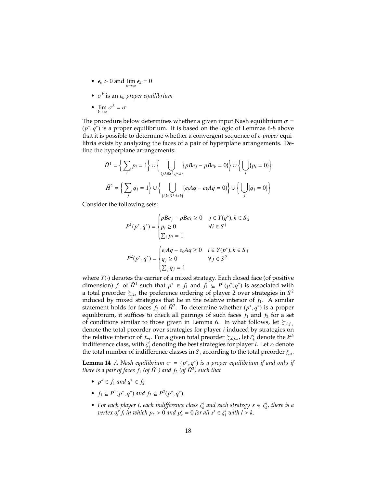- $\epsilon_k > 0$  and  $\lim_{k \to \infty} \epsilon_k = 0$
- $\sigma^k$  is an  $\epsilon_k$ -proper equilibrium
- $\lim_{k \to \infty} \sigma^k = \sigma$

The procedure below determines whether a given input Nash equilibrium  $\sigma$  =  $(p^*, q^*)$  is a proper equilibrium. It is based on the logic of Lemmas 6-8 above<br>that it is possible to determine whether a convergent sequence of  $\epsilon$ -proper equithat it is possible to determine whether a convergent sequence of ϵ-*proper* equilibria exists by analyzing the faces of a pair of hyperplane arrangements. Define the hyperplane arrangements:

$$
\tilde{H}^1 = \left\{ \sum_i p_i = 1 \right\} \cup \left\{ \bigcup_{\{j,k \in S^2 : j < k\}} \{pBe_j - pBe_k = 0\} \right\} \cup \left\{ \bigcup_i \{p_i = 0\} \right\}
$$
\n
$$
\tilde{H}^2 = \left\{ \sum_j q_j = 1 \right\} \cup \left\{ \bigcup_{\{i,k \in S^1 : i < k\}} \{e_i Aq - e_k Aq = 0\} \right\} \cup \left\{ \bigcup_j \{q_j = 0\} \right\}
$$

Consider the following sets:

$$
P^{1}(p^{*}, q^{*}) = \begin{cases} pBe_j - pBe_k \ge 0 & j \in Y(q^{*}), k \in S_2 \\ p_i \ge 0 & \forall i \in S^1 \\ \sum_i p_i = 1 & \\ P^{2}(p^{*}, q^{*}) = \begin{cases} e_i Aq - e_k Aq \ge 0 & i \in Y(p^{*}), k \in S_1 \\ q_j \ge 0 & \forall j \in S^2 \\ \sum_j q_j = 1 & \end{cases}
$$

where *Y*(·) denotes the carrier of a mixed strategy. Each closed face (of positive dimension) *f*<sub>1</sub> of  $\tilde{H}^1$  such that  $p^* \in f_1$  and  $f_1 \subseteq P^1(p^*, q^*)$  is associated with a total preorder  $\succeq_2$ , the preference ordering of player 2 over strategies in  $S^2$ a total preorder  $\succsim_{2}$ , the preference ordering of player 2 over strategies in  $S^2$ induced by mixed strategies that lie in the relative interior of  $f_1$ . A similar statement holds for faces  $f_2$  of  $\tilde{H}^2$ . To determine whether  $(p^*, q^*)$  is a proper<br>equilibrium it suffices to check all pairings of such faces f, and f, for a set equilibrium, it suffices to check all pairings of such faces  $f_1$  and  $f_2$  for a set of conditions similar to those given in Lemma 6. In what follows, let  $\succsim_{i,f-*i*}$ denote the total preorder over strategies for player *i* induced by strategies on the relative interior of  $f_{-i}$ . For a given total preorder  $\succsim_{i,f_{-i}}$ , let  $\zeta_i^i$  denote the *k<sup>th</sup>* indifference class, with  $\zeta_i^i$  denoting the hest strategies for player *i*. Let *r*, denote indifference class, with  $\zeta_1^i$  denoting the best strategies for player *i*. Let  $r_i$  denote the total number of indifference classes in  $S$ , according to the total preorder  $\succ$ . the total number of indifference classes in  $S_i$  according to the total preorder  $\succsim_i$ .

**Lemma 14** *A Nash equilibrium*  $\sigma = (p^*, q^*)$  *is a proper equilibrium if and only if* there is a pair of faces *f.* (of  $\tilde{H}^1$ ) and *f.* (of  $\tilde{H}^2$ ) such that *there is a pair of faces*  $f_1$  *(of*  $\tilde{H}^1$ *) and*  $f_2$  *(of*  $\tilde{H}^2$ *) such that* 

- $p^* \in f_1$  *and*  $q^* \in f_2$
- $f_1 \subseteq P^1(p^*, q^*)$  and  $f_2 \subseteq P^2(p^*, q^*)$
- *For each player i, each indifference class*  $\zeta_k^i$  *and each strategy*  $s \in \zeta_{k'}^i$  *there is a restex of f, in zuhich*  $n > 0$  *and*  $n' = 0$  *for all*  $s' \in \zeta^i$  *zuith l*  $> k$ *vertex of*  $f_i$  *in which*  $p_s > 0$  *and*  $p'_s = 0$  *for all*  $s' \in \zeta_i^i$  *with*  $l > k$ *.*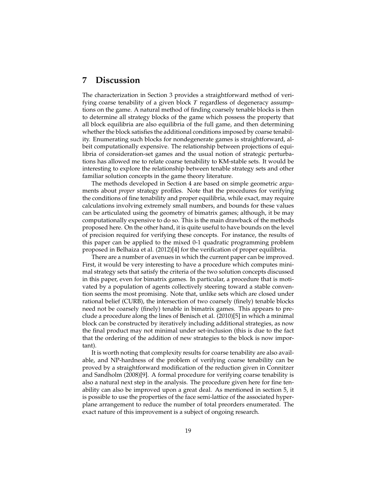## **7 Discussion**

The characterization in Section 3 provides a straightforward method of verifying coarse tenability of a given block *T* regardless of degeneracy assumptions on the game. A natural method of finding coarsely tenable blocks is then to determine all strategy blocks of the game which possess the property that all block equilibria are also equilibria of the full game, and then determining whether the block satisfies the additional conditions imposed by coarse tenability. Enumerating such blocks for nondegenerate games is straightforward, albeit computationally expensive. The relationship between projections of equilibria of consideration-set games and the usual notion of strategic perturbations has allowed me to relate coarse tenability to KM-stable sets. It would be interesting to explore the relationship between tenable strategy sets and other familiar solution concepts in the game theory literature.

The methods developed in Section 4 are based on simple geometric arguments about *proper* strategy profiles. Note that the procedures for verifying the conditions of fine tenability and proper equilibria, while exact, may require calculations involving extremely small numbers, and bounds for these values can be articulated using the geometry of bimatrix games; although, it be may computationally expensive to do so. This is the main drawback of the methods proposed here. On the other hand, it is quite useful to have bounds on the level of precision required for verifying these concepts. For instance, the results of this paper can be applied to the mixed 0-1 quadratic programming problem proposed in Belhaiza et al. (2012)[4] for the verification of proper equilibria.

There are a number of avenues in which the current paper can be improved. First, it would be very interesting to have a procedure which computes minimal strategy sets that satisfy the criteria of the two solution concepts discussed in this paper, even for bimatrix games. In particular, a procedure that is motivated by a population of agents collectively steering toward a stable convention seems the most promising. Note that, unlike sets which are closed under rational belief (CURB), the intersection of two coarsely (finely) tenable blocks need not be coarsely (finely) tenable in bimatrix games. This appears to preclude a procedure along the lines of Benisch et al. (2010)[5] in which a minimal block can be constructed by iteratively including additional strategies, as now the final product may not minimal under set-inclusion (this is due to the fact that the ordering of the addition of new strategies to the block is now important).

It is worth noting that complexity results for coarse tenability are also available, and NP-hardness of the problem of verifying coarse tenability can be proved by a straightforward modification of the reduction given in Connitzer and Sandholm (2008)[9]. A formal procedure for verifying coarse tenability is also a natural next step in the analysis. The procedure given here for fine tenability can also be improved upon a great deal. As mentioned in section 5, it is possible to use the properties of the face semi-lattice of the associated hyperplane arrangement to reduce the number of total preorders enumerated. The exact nature of this improvement is a subject of ongoing research.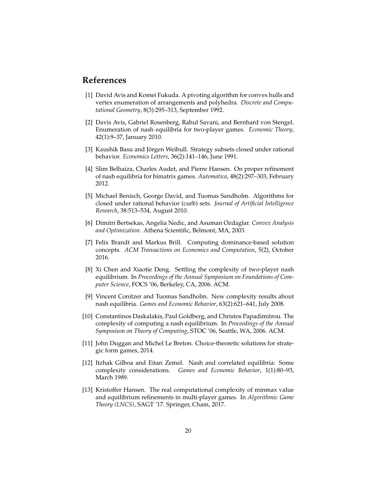## **References**

- [1] David Avis and Komei Fukuda. A pivoting algorithm for convex hulls and vertex enumeration of arrangements and polyhedra. *Discrete and Computational Geometry*, 8(3):295–313, September 1992.
- [2] Davis Avis, Gabriel Rosenberg, Rahul Savani, and Bernhard von Stengel. Enumeration of nash equilibria for two-player games. *Economic Theory*, 42(1):9–37, January 2010.
- [3] Kaushik Basu and Jörgen Weibull. Strategy subsets closed under rational behavior. *Economics Letters*, 36(2):141–146, June 1991.
- [4] Slim Belhaiza, Charles Audet, and Pierre Hansen. On proper refinement of nash equilibria for bimatrix games. *Automatica*, 48(2):297–303, February 2012.
- [5] Michael Benisch, George David, and Tuomas Sandholm. Algorithms for closed under rational behavior (curb) sets. *Journal of Artificial Intelligence Research*, 38:513–534, August 2010.
- [6] Dimitri Bertsekas, Angelia Nedic, and Asuman Ozdaglar. *Convex Analysis and Optimization*. Athena Scientific, Belmont, MA, 2003.
- [7] Felix Brandt and Markus Brill. Computing dominance-based solution concepts. *ACM Transactions on Economics and Computation*, 5(2), October 2016.
- [8] Xi Chen and Xiaotie Deng. Settling the complexity of two-player nash equilibrium. In *Proceedings of the Annual Symposium on Foundations of Computer Science*, FOCS '06, Berkeley, CA, 2006. ACM.
- [9] Vincent Conitzer and Tuomas Sandholm. New complexity results about nash equilibria. *Games and Economic Behavior*, 63(2):621–641, July 2008.
- [10] Constantinos Daskalakis, Paul Goldberg, and Christos Papadimitrou. The complexity of computing a nash equilibrium. In *Proceedings of the Annual Symposium on Theory of Computing*, STOC '06, Seattle, WA, 2006. ACM.
- [11] John Duggan and Michel Le Breton. Choice-theoretic solutions for strategic form games, 2014.
- [12] Itzhak Gilboa and Eitan Zemel. Nash and correlated equilibria: Some complexity considerations. *Games and Economic Behavior*, 1(1):80–93, March 1989.
- [13] Kristoffer Hansen. The real computational complexity of minmax value and equilibrium refinements in multi-player games. In *Algorithmic Game Theory (LNCS)*, SAGT '17. Springer, Cham, 2017.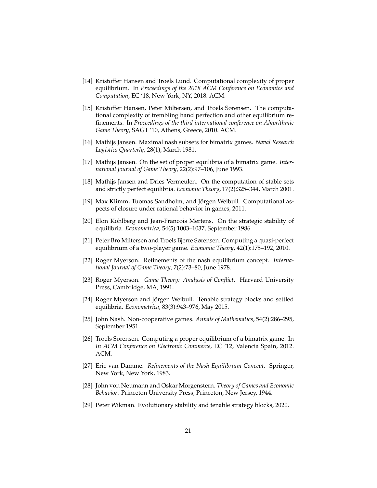- [14] Kristoffer Hansen and Troels Lund. Computational complexity of proper equilibrium. In *Proceedings of the 2018 ACM Conference on Economics and Computation*, EC '18, New York, NY, 2018. ACM.
- [15] Kristoffer Hansen, Peter Miltersen, and Troels Sørensen. The computational complexity of trembling hand perfection and other equilibrium refinements. In *Proceedings of the third international conference on Algorithmic Game Theory*, SAGT '10, Athens, Greece, 2010. ACM.
- [16] Mathijs Jansen. Maximal nash subsets for bimatrix games. *Naval Research Logistics Quarterly*, 28(1), March 1981.
- [17] Mathijs Jansen. On the set of proper equilibria of a bimatrix game. *International Journal of Game Theory*, 22(2):97–106, June 1993.
- [18] Mathijs Jansen and Dries Vermeulen. On the computation of stable sets and strictly perfect equilibria. *Economic Theory*, 17(2):325–344, March 2001.
- [19] Max Klimm, Tuomas Sandholm, and Jörgen Weibull. Computational aspects of closure under rational behavior in games, 2011.
- [20] Elon Kohlberg and Jean-Francois Mertens. On the strategic stability of equilibria. *Econometrica*, 54(5):1003–1037, September 1986.
- [21] Peter Bro Miltersen and Troels Bjerre Sørensen. Computing a quasi-perfect equilibrium of a two-player game. *Economic Theory*, 42(1):175–192, 2010.
- [22] Roger Myerson. Refinements of the nash equilibrium concept. *International Journal of Game Theory*, 7(2):73–80, June 1978.
- [23] Roger Myerson. *Game Theory: Analysis of Conflict*. Harvard University Press, Cambridge, MA, 1991.
- [24] Roger Myerson and Jörgen Weibull. Tenable strategy blocks and settled equilibria. *Econometrica*, 83(3):943–976, May 2015.
- [25] John Nash. Non-cooperative games. *Annals of Mathematics*, 54(2):286–295, September 1951.
- [26] Troels Sørensen. Computing a proper equilibrium of a bimatrix game. In *In ACM Conference on Electronic Commerce*, EC '12, Valencia Spain, 2012. ACM.
- [27] Eric van Damme. *Refinements of the Nash Equilibrium Concept*. Springer, New York, New York, 1983.
- [28] John von Neumann and Oskar Morgenstern. *Theory of Games and Economic Behavior*. Princeton University Press, Princeton, New Jersey, 1944.
- [29] Peter Wikman. Evolutionary stability and tenable strategy blocks, 2020.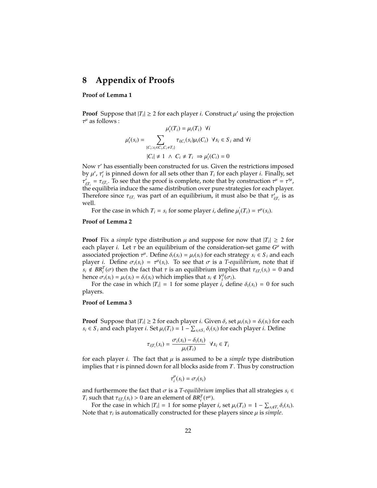## **8 Appendix of Proofs**

#### **Proof of Lemma 1**

**Proof** Suppose that  $|T_i| \ge 2$  for each player *i*. Construct  $\mu'$  using the projection  $\tau^{\mu}$  as follows :  $\tau^{\mu}$  as follows :

$$
\mu'_i(T_i) = \mu_i(T_i) \ \forall i
$$
  

$$
\mu'_i(s_i) = \sum_{\{C_i: s_i \in C_i, C_i \neq T_i\}} \tau_{i|C_i}(s_i)\mu_i(C_i) \ \forall s_i \in S_i \text{ and } \forall i
$$
  

$$
|C_i| \neq 1 \ \land \ C_i \neq T_i \Rightarrow \mu'_i(C_i) = 0
$$

Now  $\tau'$  has essentially been constructed for us. Given the restrictions imposed<br>by  $u'$   $\tau'$  is pinned down for all sets other than  $T$  for each player i. Finally, set by  $\mu'$ ,  $\tau'_i$  is pinned down for all sets other than  $T_i$  for each player *i*. Finally, set  $\tau' = \tau_{xx}$ . To see that the proof is complete, note that by construction  $\tau'' = \tau''$ .  $t_1$  $\vec{r}_{i|T_i} = \tau_{i|T_i}$ . To see that the proof is complete, note that by construction  $\tau^{\mu} = \tau^{\prime \mu}$ ,  $\vec{r}_{i|T_i}$  is equilibrial induce the same distribution over pure strategies for each player. Therefore since  $\tau_{i|T_i}$  was part of an equilibrium, it must also be that  $\tau'_{i|T_i}$  is as well well.

For the case in which  $T_i = s_i$  for some player *i*, define  $\mu'_i$  $i(T_i) = \tau^{\mu}(s_i).$ 

#### **Proof of Lemma 2**

**Proof** Fix a *simple* type distribution  $\mu$  and suppose for now that  $|T_i| \geq 2$  for each player  $i$ . Let  $\tau$  be an equilibrium of the consideration-set game  $G^{\mu}$  with each player *i*. Let  $\tau$  be an equilibrium of the consideration-set game  $G^{\mu}$  with associated projection  $\tau^{\mu}$ . Define  $\delta(s_0) = \mu(s_0)$  for each strategy  $s_0 \in S$ , and each associated projection  $\tau^{\mu}$ . Define  $\delta_i(s_i) = \mu_i(s_i)$  for each strategy  $s_i \in S_i$  and each player *i* Define  $\sigma_i(s_i) = \tau^{\mu}(s_i)$ . To see that  $\sigma$  is a *T-equilibrium*, note that if player *i*. Define  $\sigma_i(s_i) = \tau^\mu(s_i)$ . To see that  $\sigma$  is a *T-equilibrium*, note that if  $s_i \notin BR^T(\sigma)$  then the fact that  $\tau$  is an equilibrium implies that  $\tau_{\text{max}}(s_i) = 0$  and  $s_i \notin BR_i^T(\sigma)$  then the fact that  $\tau$  is an equilibrium implies that  $\tau_{i|T_i}(s_i) = 0$  and thence  $\sigma_i(s_i) = u_i(s_i) - \delta_i(s_i)$  which implies that  $s_i \notin V_0^T(\sigma_i)$ hence  $\sigma_i(s_i) = \mu_i(s_i) = \delta_i(s_i)$  which implies that  $s_i \notin Y_i^{\delta}(\sigma_i)$ .<br>For the case in which  $|T_i| = 1$  for some player *i*, defined

For the case in which  $|T_i| = 1$  for some player *i*, define  $\delta_i(s_i) = 0$  for such players.

#### **Proof of Lemma 3**

**Proof** Suppose that  $|T_i| \ge 2$  for each player *i*. Given  $\delta$ , set  $\mu_i(s_i) = \delta_i(s_i)$  for each player *i*. Define *s*<sup>*i*</sup> ∈ *Si*</sub> and each player *i*. Set  $\mu$ <sup>*i*</sup>(*T*<sup>*i*</sup>) = 1 −  $\sum$ <sub>*si*</sub>∈*S*<sub>*i*</sub></sub>  $\delta$ *i*(*s*<sup>*i*</sup>) for each player *i*. Define

$$
\tau_{i|T_i}(s_i) = \frac{\sigma_i(s_i) - \delta_i(s_i)}{\mu_i(T_i)} \ \forall s_i \in T_i
$$

for each player *i*. The fact that  $\mu$  is assumed to be a *simple* type distribution implies that  $\tau$  is pinned down for all blocks aside from  $T$ . Thus by construction

$$
\tau_i^{\mu}(s_i)=\sigma_i(s_i)
$$

and furthermore the fact that  $\sigma$  is a *T-equilibrium* implies that all strategies  $s_i \in$ *T<sub>i</sub>* such that  $\tau_{i|T_i}(s_i) > 0$  are an element of  $BR_i^T(\tau^{\mu})$ .<br>For the case in which  $|T_i| = 1$  for some player

For the case in which  $|T_i| = 1$  for some player *i*, set  $\mu_i(T_i) = 1 - \sum_{s_i \notin T_i} \delta_i(s_i)$ . Note that  $\tau_i$  is automatically constructed for these players since  $\mu$  is *simple*.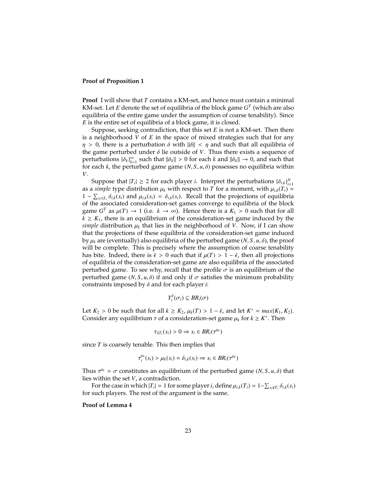#### **Proof of Proposition 1**

**Proof** I will show that *T* contains a KM-set, and hence must contain a minimal KM-set. Let  $E$  denote the set of equilibria of the block game  $G<sup>T</sup>$  (which are also equilibria of the entire game under the assumption of coarse tenability). Since *E* is the entire set of equilibria of a block game, it is closed.

Suppose, seeking contradiction, that this set *E* is not a KM-set. Then there is a neighborhood *V* of *E* in the space of mixed strategies such that for any  $\eta > 0$ , there is a perturbation  $\delta$  with  $\|\delta\| < \eta$  and such that all equilibria of the game perturbed under  $\delta$  lie outside of  $V$ . Thus there exists a sequence of  $\{\delta_k\}_{k=1}^{\infty}$  such that  $\|\delta_k\| > 0$  for each *k* and  $\|\delta_k\| \to 0$ , and such that for each *k* the perturbed game game  $(N, S, \mu, \delta)$  possesses no equilibria within for each  $k$ , the perturbed game game  $(N, S, u, \delta)$  possesses no equilibria within *V*.

Suppose that  $|T_i| \geq 2$  for each player *i*. Interpret the perturbations  $\{\delta_{i,k}\}_{i=1}^N$ as a *simple* type distribution  $\mu_k$  with respect to *T* for a moment, with  $\mu_{i,k}(T_i)$  = 1 −  $\sum_{s_i \in S_i} \delta_{i,k}(s_i)$  and  $\mu_{i,k}(s_i) = \delta_{i,k}(s_i)$ . Recall that the projections of equilibria of the block of the associated consideration-set games converge to equilibria of the block game  $G^T$  as  $\mu(T) \to 1$  (i.e.  $k \to \infty$ ). Hence there is a  $K_1 > 0$  such that for all  $k > K$ , there is an equilibrium of the consideration-set game induced by the  $k \geq K_1$ , there is an equilibrium of the consideration-set game induced by the *simple* distribution  $\mu_k$  that lies in the neighborhood of *V*. Now, if I can show that the projections of these equilibria of the consideration-set game induced by  $\mu_k$  are (eventually) also equilibria of the perturbed game  $(N, S, u, \delta)$ , the proof will be complete. This is precisely where the assumption of coarse tenability has bite. Indeed, there is  $\bar{\epsilon} > 0$  such that if  $\mu(T) > 1 - \bar{\epsilon}$ , then all projections of equilibria of the consideration-set game are also equilibria of the associated perturbed game. To see why, recall that the profile  $\sigma$  is an equilibrium of the perturbed game  $(N, S, u, \delta)$  if and only if  $\sigma$  satisfies the minimum probability constraints imposed by δ and for each player *<sup>i</sup>*:

$$
Y_i^{\delta}(\sigma_i) \subseteq BR_i(\sigma)
$$

Let  $K_2 > 0$  be such that for all  $k \ge K_2$ ,  $\mu_k(T) > 1 - \bar{\epsilon}$ , and let  $K^* = \max\{K_1, K_2\}$ .<br>Consider any equilibrium  $\tau$  of a consideration-set game  $\mu_k$  for  $k > K^*$ . Then Consider any equilibrium  $\tau$  of a consideration-set game  $\mu_k$  for  $k \geq K^*$ . Then

$$
\tau_{i|T_i}(s_i) > 0 \Rightarrow s_i \in BR_i(\tau^{\mu_k})
$$

since *T* is coarsely tenable. This then implies that

$$
\tau_i^{\mu_k}(s_i) > \mu_k(s_i) = \delta_{i,k}(s_i) \Rightarrow s_i \in BR_i(\tau^{\mu_k})
$$

Thus  $\tau^{\mu_k} = \sigma$  constitutes an equilibrium of the perturbed game  $(N, S, u, \delta)$  that lies within the set *V* a contradiction lies within the set *V*, a contradiction.

For the case in which  $|T_i| = 1$  for some player *i*, define  $\mu_{i,k}(T_i) = 1 - \sum_{s_i \notin T_i} \delta_{i,k}(s_i)$ for such players. The rest of the argument is the same.

#### **Proof of Lemma 4**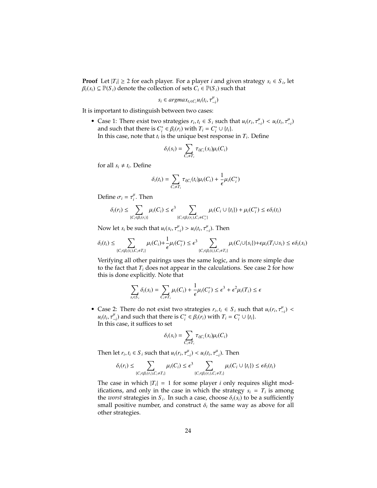**Proof** Let  $|T_i| \geq 2$  for each player. For a player *i* and given strategy  $s_i \in S_i$ , let  $\beta_i(s_i) \subseteq \mathbb{P}(S_i)$  denote the collection of sets  $C_i \in \mathbb{P}(S_i)$  such that

$$
s_i \in argmax_{t_i \in C_i} u_i(t_i, \tau_{-i}^{\mu})
$$

It is important to distinguish between two cases:

**•** Case 1: There exist two strategies  $r_i$ ,  $t_i \in S_i$  such that  $u_i(r_i, \tau_{-i}^{\mu}) < u_i(t_i, \tau_{-i}^{\mu})$ <br>and such that there is  $C^* \in B_i(r_i)$  with  $T_i - C^* + |f_i|$ and such that there is  $C_i^* \in \beta_i(r_i)$  with  $T_i = C_i^* \cup \{t_i\}$ .<br>In this case, note that *t*, is the unique best response In this case, note that  $t_i$  is the unique best response in  $T_i$ . Define

$$
\delta_i(s_i) = \sum_{C_i \neq T_i} \tau_{i|C_i}(s_i) \mu_i(C_i)
$$

for all  $s_i \neq t_i$ . Define

$$
\delta_i(t_i) = \sum_{C_i \neq T_i} \tau_{i|C_i}(t_i) \mu_i(C_i) + \frac{1}{\epsilon} \mu_i(C_i^*)
$$

Define  $\sigma_i = \tau_i^{\mu}$ . Then

$$
\delta_i(r_i) \leq \sum_{\{C_i \in \beta_i(r_i)\}} \mu_i(C_i) \leq \epsilon^3 \sum_{\{C_i \in \beta_i(r_i), C_i \neq C_i^*\}} \mu_i(C_i \cup \{t_i\}) + \mu_i(C_i^*) \leq \epsilon \delta_i(t_i)
$$

Now let *s*<sup>*i*</sup> be such that  $u_i(s_i, \tau^{\mu}_{-i}) > u_i(t_i, \tau^{\mu}_{-i})$ . Then

$$
\delta_i(t_i) \leq \sum_{\{C_i \in \beta_i(t_i), C_i \neq T_i\}} \mu_i(C_i) + \frac{1}{\epsilon} \mu_i(C_i^*) \leq \epsilon^3 \sum_{\{C_i \in \beta_i(t_i), C_i \neq T_i\}} \mu_i(C_i \cup \{s_i\}) + \epsilon \mu_i(T_i \cup s_i) \leq \epsilon \delta_i(s_i)
$$

Verifying all other pairings uses the same logic, and is more simple due to the fact that  $T_i$  does not appear in the calculations. See case 2 for how this is done explicitly. Note that

$$
\sum_{s_i \in S_i} \delta_i(s_i) = \sum_{C_i \neq T_i} \mu_i(C_i) + \frac{1}{\epsilon} \mu_i(C_i^*) \le \epsilon^3 + \epsilon^2 \mu_i(T_i) \le \epsilon
$$

• Case 2: There do not exist two strategies  $r_i, t_i \in S_i$  such that  $u_i(r_i, \tau_{-i}^{\mu}) < u_i(t, \tau_i^{\mu})$  and such that there is  $C^* \in \mathcal{B}(r_i)$  with  $T_i - C^* \cup \{t_i\}$  $u_i(t_i, \tau_{-i}^{\mu})$  and such that there is  $C_i^* \in \beta_i(\tilde{r}_i)$  with  $T_i = C_i^* \cup \{t_i\}$ .<br>In this case, it suffices to set , τ In this case, it suffices to set

$$
\delta_i(s_i) = \sum_{C_i \neq T_i} \tau_{i|C_i}(s_i) \mu_i(C_i)
$$

Then let  $r_i, t_i \in S_i$  such that  $u_i(r_i, \tau_{-i}^{\mu}) < u_i(t_i, \tau_{-i}^{\mu})$ . Then

$$
\delta_i(r_i) \leq \sum_{\{C_i \in \beta_i(r_i), C_i \neq T_i\}} \mu_i(C_i) \leq \epsilon^3 \sum_{\{C_i \in \beta_i(r_i), C_i \neq T_i\}} \mu_i(C_i \cup \{t_i\}) \leq \epsilon \delta_i(t_i)
$$

The case in which  $|T_i| = 1$  for some player *i* only requires slight modifications, and only in the case in which the strategy  $s_i = T_i$  is among the *worst* strategies in  $S_i$ . In such a case, choose  $\delta_i(s_i)$  to be a sufficiently small positive number, and construct  $\delta_i$  the same way as above for all small positive number, and construct  $\delta_i$  the same way as above for all other strategies.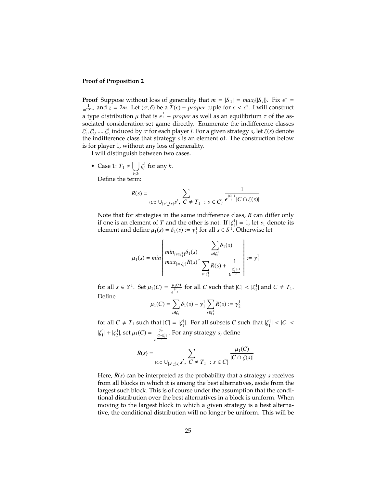#### **Proof of Proposition 2**

**Proof** Suppose without loss of generality that  $m = |S_1| = max_i \{|S_i|\}$ . Fix  $\epsilon^* = \frac{1}{n}$  and  $\tau = 2m$ . Let  $(\tau, \delta)$  be a  $T(\epsilon) =$  proper tuple for  $\epsilon \leq \epsilon^*$ . Lwill construct  $\frac{1}{m^2 2^{2m}}$  and *z* = 2*m*. Let (*σ*, *δ*) be a *T*(*∈*) − *proper* tuple for *∈* <  $\epsilon^*$ . I will construct a type distribution  $\mu$  that is  $\epsilon^{\frac{1}{2}}$  – *proper* as well as an equilibrium  $\tau$  of the as-<br>sociated consideration-set game directly. Enumerate the indifference classes sociated consideration-set game directly. Enumerate the indifference classes the indifference class that strategy *s* is an element of. The construction below  $i^i$ ,  $\xi^i$ , ...,  $\zeta^i$ <sub>*i*</sub> induced by *σ* for each player *i*. For a given strategy *s*, let ζ(*s*) denote<br>he indifference class that strategy *s* is an element of The construction below is for player 1, without any loss of generality.

I will distinguish between two cases.

• Case 1:  $T_1 \neq \begin{bmatrix} \end{bmatrix}$ *l*≤*k* ζ  $\int_l^1$  for any *k*.

Define the term:

$$
R(s) = \sum_{\{C \subset \bigcup_{\{s' \preceq s\}} s', \ C \neq T_1 \ : \ s \in C\}} \frac{1}{\epsilon^{\frac{|C|-1}{z}} |C \cap \zeta(s)|}
$$

Note that for strategies in the same indifference class, *R* can differ only if one is an element of *T* and the other is not. If  $|\zeta_1^1| = 1$ , let  $s_1$  denote its element and define  $u_1(s) = \delta_1(s) = x^1$  for all  $s \in S^1$ . Otherwise let element and define  $\mu_1(s) = \delta_1(s) := \gamma_1^1$  for all  $s \in S^1$ . Otherwise let

$$
\mu_1(s) = min \left[ \frac{min_{\{s \in \zeta_1^1\}} \delta_1(s)}{max_{\{s \in \zeta_1^1\}} R(s)}, \frac{\sum_{s \in \zeta_1^1} \delta_1(s)}{\sum_{s \in \zeta_1^1} R(s) + \frac{1}{\epsilon^{\frac{|\zeta_1^1|}{z}}}} \right] := \gamma_1^1
$$

for all  $s \in S^1$ . Set  $\mu_1(C) = \frac{\mu_1(s)}{\epsilon^{\frac{|C| - 1}{2}}}$  for all *C* such that  $|C| < |\zeta_1^1|$  and  $C \neq T_1$ . Define

$$
\mu_1(C) = \sum_{s \in \zeta_1^1} \delta_1(s) - \gamma_1^1 \sum_{s \in \zeta_1^1} R(s) := \gamma_2^1
$$

for all  $C \neq T_1$  such that  $|C| = |\zeta_1^1|$ . For all subsets *C* such that  $|\zeta_1^1| < |C| <$  $|\zeta_1^1| + |\zeta_2^1|$ , set  $\mu_1(C) = \frac{\gamma_2^1}{e^{\frac{|C| - |\zeta_1^1|}{\zeta}}}$ . For any strategy *s*, define

$$
\bar{R}(s) = \sum_{\{C \subset \bigcup_{\{s' \preceq s\}} s', \ C \neq T_1 \ : \ s \in C\}} \frac{\mu_1(C)}{|C \cap \zeta(s)|}
$$

Here,  $\bar{R}(s)$  can be interpreted as the probability that a strategy *s* receives from all blocks in which it is among the best alternatives, aside from the largest such block. This is of course under the assumption that the conditional distribution over the best alternatives in a block is uniform. When moving to the largest block in which a given strategy is a best alternative, the conditional distribution will no longer be uniform. This will be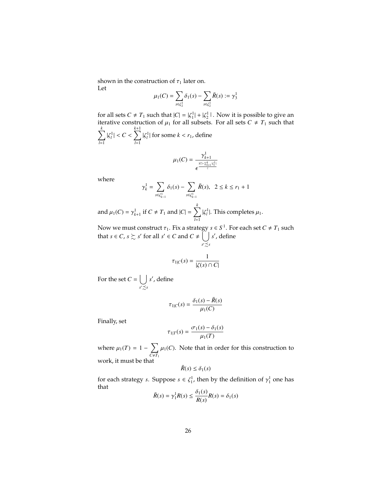shown in the construction of  $\tau_1$  later on.

Let

$$
\mu_1(C) = \sum_{s \in \zeta_2^1} \delta_1(s) - \sum_{s \in \zeta_2^1} \bar{R}(s) := \gamma_3^1
$$

for all sets  $C \neq T_1$  such that  $|C| = |\zeta_1^1| + |\zeta_2^1|$ . Now it is possible to give an iterative construction of  $\mu$ , for all subsets. For all sets  $C \neq T$ , such that iterative construction of  $\mu_1$  for all subsets. For all sets  $C \neq T_1$  such that  $\sum$  $\sum_{l=1}^k |\zeta_l^1| < C < \sum_{l=1}^{k+1}$  $\sum_{l=1}^k |\zeta_l^1|$  for some  $k < r_1$ , define

$$
\mu_1(C) = \frac{\gamma_{k+1}^1}{\epsilon^{\frac{|C| - \sum_{i=1}^k |\zeta_i^1|}{z}}}
$$

where

$$
\gamma_k^1 = \sum_{s \in \zeta_{k-1}^1} \delta_1(s) - \sum_{s \in \zeta_{k-1}^1} \bar{R}(s), \ \ 2 \le k \le r_1 + 1
$$

and  $\mu_1(C) = \gamma_{k+1}^1$  if  $C \neq T_1$  and  $|C| = \sum_{i=1}^k$  $\sum_{l=1}^{n} |\zeta_l^1|$ . This completes  $\mu_1$ .

Now we must construct  $\tau_1$ . Fix a strategy  $s \in S^1$ . For each set  $C \neq T_1$  such that  $s \in C$ ,  $s \succsim s'$  for all  $s' \in C$  and  $C \neq \begin{bmatrix} \end{bmatrix}$ *s* ′≾*s s* ′ , define

$$
\tau_{1|C}(s) = \frac{1}{|\zeta(s) \cap C|}
$$

For the set  $C = \begin{bmatrix} \end{bmatrix}$ *s* ′≾*s s* ′ , define

$$
\tau_{1|C}(s) = \frac{\delta_1(s) - \bar{R}(s)}{\mu_1(C)}
$$

Finally, set

$$
\tau_{1|T}(s) = \frac{\sigma_1(s) - \delta_1(s)}{\mu_1(T)}
$$

where  $\mu_1(T) = 1 - \sum_{C \neq T}$  $\sum_{C \neq T_1} \mu_1(C)$ . Note that in order for this construction to work, it must be that

 $\bar{R}(s) \leq \delta_1(s)$ 

for each strategy *s*. Suppose  $s \in \zeta_1^1$ , then by the definition of  $\gamma_1^1$  one has that

$$
\bar{R}(s) = \gamma_1^1 R(s) \le \frac{\delta_1(s)}{R(s)} R(s) = \delta_1(s)
$$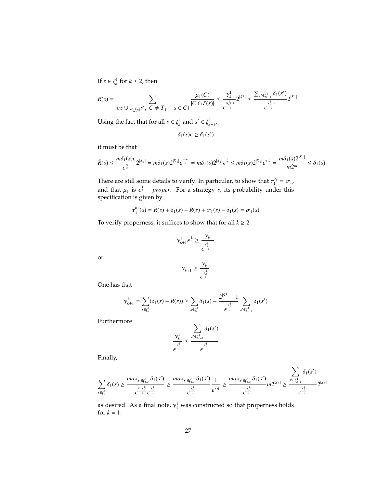If  $s \in \zeta_k^1$  for  $k \geq 2$ , then

$$
\bar{R}(s) = \sum_{\{C \subset \bigcup_{\{s' \preceq s\}} s', \ C \neq T_1 \ : \ s \in C\}} \frac{\mu_1(C)}{|C \cap \zeta(s)|} \leq \frac{\gamma_k^1}{\epsilon^{\frac{|\zeta|}{\epsilon}}} 2^{|S^1|} \leq \frac{\sum_{s' \in \zeta_{k-1}^1} \delta_1(s')}{\epsilon^{\frac{|\zeta_k^1| - 1}{\epsilon}}} 2^{|S_1|}
$$

Using the fact that for all  $s \in \zeta_k^1$  and  $s' \in \zeta_{k-1}^1$ ,

$$
\delta_1(s)\epsilon \geq \delta_1(s')
$$

it must be that

$$
\bar{R}(s) \le \frac{m\delta_1(s)\epsilon}{\epsilon^{\frac{m}{2}}} 2^{|S_1|} = m\delta_1(s) 2^{|S_1|} \epsilon^{\frac{z-m}{z}} = m\delta_1(s) 2^{|S_1|} \epsilon^{\frac{1}{2}} \le m\delta_1(s) 2^{|S_1|} \epsilon^{\frac{1}{2}} = \frac{m\delta_1(s) 2^{|S_1|}}{m2^m} \le \delta_1(s)
$$

There are still some details to verify. In particular, to show that  $\tau_1^{\mu_1} = \sigma_1$ , and that  $\mu_1$  is  $\epsilon^{\frac{1}{z}}$  *– proper*. For a strategy *s*, its probability under this specification is given by specification is given by

$$
\tau_1^{\mu_1}(s) = \bar{R}(s) + \delta_1(s) - \bar{R}(s) + \sigma_1(s) - \delta_1(s) = \sigma_1(s)
$$

To verify properness, it suffices to show that for all  $k\geq 2$ 

$$
\gamma_{k+1}^1 \epsilon^{\frac{1}{z}} \geq \frac{\gamma_k^1}{\epsilon^{\frac{|\zeta_k^1| - 1}{z}}}
$$

or

$$
\gamma_{k+1}^1 \geq \frac{\gamma_k^1}{\epsilon^{\frac{|\zeta_k^1|}{z}}}
$$

One has that

$$
\gamma_{k+1}^1 = \sum_{s \in \zeta_k^1} (\delta_1(s) - \bar{R}(s)) \ge \sum_{s \in \zeta_k^1} \delta_1(s) - \frac{2^{|S^1|} - 1}{\epsilon^{\frac{|c_k^1|}{\epsilon}}} \sum_{s' \in \zeta_{k-1}^1} \delta_1(s')
$$

Furthermore

$$
\frac{\gamma_k^1}{\epsilon^{\frac{|k_k^1|}{z}}}\leq \frac{\sum\limits_{s'\in\zeta_{k-1}^1}\delta_1(s')}{\epsilon^{\frac{|k_k^1|}{z}}}
$$

Finally,

$$
\sum_{s\in\zeta_k^1}\delta_1(s)\geq \frac{\max_{s'\in\zeta_{k-1}^1}\delta_1(s')}{\epsilon^{\frac{z-k'_k}{z}}\epsilon^{\frac{|c'_k|}{z}}} \geq \frac{\max_{s'\in\zeta_{k-1}^1}\delta_1(s')}{\epsilon^{\frac{|c'_k|}{z}}} \frac{1}{\epsilon^{*\frac{1}{2}}}\geq \frac{\max_{s'\in\zeta_{k-1}^1}\delta_1(s')}{\epsilon^{\frac{|c'_k|}{z}}}m2^{|S_1|}\geq \frac{\sum_{s'\in\zeta_{k-1}^1}\delta_1(s')}{\epsilon^{\frac{|c'_k|}{z}}}2^{|S_1|}
$$

as desired. As a final note,  $\gamma_1^1$  was constructed so that properness holds for  $k-1$ for  $k = 1$ .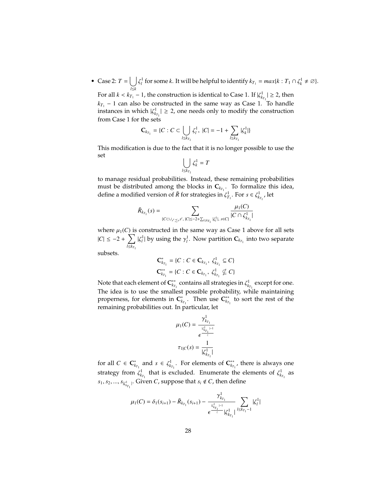• Case 2:  $T = |$ *l*≤*k* ζ *l* for some *k*. It will be helpful to identify  $k_{T_1} = max\{k : T_1 \cap \zeta_k^1 \neq \emptyset\}.$ For all  $k < k_{T_1} - 1$ , the construction is identical to Case 1. If  $|\zeta_{k_{T_1}}^1| \geq 2$ , then  $k_{T_1}$  − 1 can also be constructed in the same way as Case 1. To handle instances in which  $|\zeta_{k_{\tau_1}}^1| \geq 2$ , one needs only to modify the construction from Case 1 for the sets

$$
\mathbf{C}_{k_{T_1}} = \{C : C \subset \bigcup_{l \le k_{T_1}} \zeta_l^1, \ |C| = -1 + \sum_{l \le k_{T_1}} |\zeta_k^1| \}
$$

This modification is due to the fact that it is no longer possible to use the set

$$
\bigcup_{l\leq k_{T_1}}\zeta_k^1=T
$$

to manage residual probabilities. Instead, these remaining probabilities must be distributed among the blocks in  $\mathbf{C}_{k_{T_1}}$ . To formalize this idea, define a modified version of  $\bar{R}$  for strategies in  $\zeta_{T_1}^1$ . For  $s \in \zeta_{k_{T_1}}^1$ , let

$$
\bar{R}_{k_{T_1}}(s) = \sum_{\{C \subset \cup_{s' \precsim s} s', \, |C| \leq -2 + \sum_{l \leq k_{T_1}} |\zeta_l^1|, \, s \in C\}} \frac{\mu_1(C)}{|C \cap \zeta_{k_{T_1}}^1|}
$$

where  $\mu_1(C)$  is constructed in the same way as Case 1 above for all sets  $|C|$  ≤ −2 +  $\sum$  $\sum_{l \leq k_{T_1}} |\zeta_l^1|$  by using the  $\gamma_l^1$ . Now partition  $\mathbf{C}_{k_{T_1}}$  into two separate

subsets.

$$
\mathbf{C}_{k_{T_1}}^* = \{C : C \in \mathbf{C}_{k_{T_1}}, \ \zeta_{k_{T_1}}^1 \subseteq C\}
$$

$$
\mathbf{C}_{k_{T_1}}^{**} = \{C : C \in \mathbf{C}_{k_{T_1}}, \ \zeta_{k_{T_1}}^1 \nsubseteq C\}
$$

Note that each element of  $\mathbf{C}_{k\tau_1}^{**}$  contains all strategies in  $\zeta_{k\tau_1}^1$  except for one. The idea is to use the smallest possible probability, while maintaining properness, for elements in  $\mathbf{C}_{k_{T_1}}^*$ . Then use  $\mathbf{C}_{k_{T_1}}^{**}$  to sort the rest of the remaining probabilities out. In particular, let

$$
\mu_1(C) = \frac{\gamma_{k_{T_1}}^1}{\epsilon^{\frac{|\mathcal{C}_{k_{T_1}}^1|}{\epsilon}}}
$$

$$
\tau_{1|C}(s) = \frac{1}{|\zeta_{k_{T_1}}^1|}
$$

for all  $C \in \mathbf{C}_{k_{T_1}}^*$  and  $s \in \zeta_{k_{T_1}}^1$ . For elements of  $\mathbf{C}_{k_{T_1}}^{**}$ , there is always one strategy from  $\zeta_{k_{T_1}}^1$  that is excluded. Enumerate the elements of  $\zeta_{k_{T_1}}^1$  as  $s_1, s_2, ..., s_{|\zeta^1_{k_{T_1}}|}$ . Given *C*, suppose that  $s_i \notin C$ , then define |

$$
\mu_1(C) = \delta_1(s_{i+1}) - \bar{R}_{k_{T_1}}(s_{i+1}) - \frac{\gamma^1_{k_{T_1}}}{\epsilon^{\frac{|\mathcal{L}|}{\epsilon_{T_1}| - 1}} |\zeta^1_{k_{T_1}}|} \sum_{l \le k_{T_1}-1} |\zeta^1_l|
$$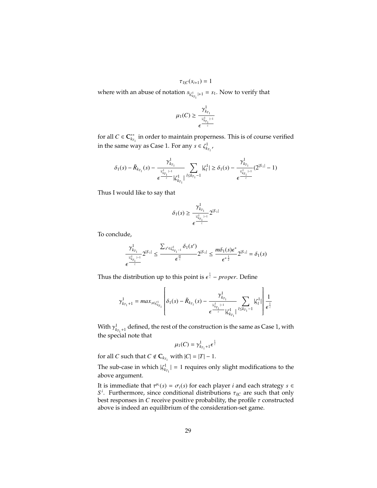$$
\tau_{1|C}(s_{i+1})=1
$$

where with an abuse of notation  $s_{|\zeta^1_{k_{T_1}}|+1} = s_1$ . Now to verify that

$$
\mu_1(C) \geq \frac{\gamma^1_{k_{T_1}}}{\epsilon^{\frac{|\mathcal{C}|}{\epsilon}}}
$$

for all  $C \in \mathbb{C}_{k_{T_1}}^{**}$  in order to maintain properness. This is of course verified in the same way as Case 1. For any  $s \in \zeta^1_{k_{T_1}}$ ,

$$
\delta_1(s) - \bar{R}_{k_{T_1}}(s) - \frac{\gamma^1_{k_{T_1}}}{\epsilon^{\frac{1}{k_{T_1}-1}} |\zeta^1_{k_{T_1}}|} \sum_{l \leq k_{T_1}-1} |\zeta^1_{l}| \geq \delta_1(s) - \frac{\gamma^1_{k_{T_1}}}{\epsilon^{\frac{1}{k_{T_1}-1}} |\zeta^{|S_1|}} (2^{|S_1|} - 1)
$$

Thus I would like to say that

$$
\delta_1(s) \geq \frac{\gamma^1_{k_{T_1}}}{\epsilon^{\frac{|k^1_{k_{T_1}}| - 1}{z}}} 2^{|S_1|}
$$

To conclude,

$$
\frac{\gamma^1_{k_{T_1}}}{\epsilon^{\frac{|k^1_{k_{T_1}}|-1}{\epsilon}}}2^{|S_1|} \leq \frac{\sum_{s' \in \zeta^1_{k_{T_1}-1}} \delta_1(s')}{\epsilon^{\frac{m}{\epsilon}}} 2^{|S_1|} \leq \frac{m\delta_1(s)\epsilon^*}{\epsilon^{*\frac{1}{2}}} 2^{|S_1|} = \delta_1(s)
$$

Thus the distribution up to this point is  $\epsilon^{\frac{1}{z}}$  – *proper*. Define

$$
\gamma_{k_{T_1}+1}^1 = max_{s \in \zeta_{k_{T_1}}^1} \left[ \delta_1(s) - \bar{R}_{k_{T_1}}(s) - \frac{\gamma_{k_{T_1}}^1}{\epsilon^{\frac{1}{\epsilon_{k_{T_1}}-1}} |\zeta_{k_{T_1}}^1|} \sum_{l \leq k_{T_1}-1}^{l} |\zeta_l^1| \right] \frac{1}{\epsilon^{\frac{1}{\epsilon}}}
$$

With  $\gamma^1_{x_{T_1}+1}$  defined, the rest of the construction is the same as Case 1, with the same is  $\gamma^1_{x_{T_1}+1}$ the special note that

$$
\mu_1(C)=\gamma^1_{k_{T_1}+1}\epsilon^{\frac{1}{z}}
$$

for all *C* such that  $C \notin \mathbb{C}_{k_{T_1}}$  with  $|C| = |T| - 1$ .

The sub-case in which  $|\zeta^1_{k_{T_1}}| = 1$  requires only slight modifications to the above argument.

It is immediate that  $\tau^{\mu_i}(s) = \sigma_i(s)$  for each player *i* and each strategy  $s \in S^i$ . Eurthermore, since conditional distributions  $\tau_{i,s}$  are such that only  $S^i$ . Furthermore, since conditional distributions  $\tau_{i|C}$  are such that only best responses in *C* receive positive probability the profile *τ* constructed best responses in  $C$  receive positive probability, the profile  $\tau$  constructed above is indeed an equilibrium of the consideration-set game.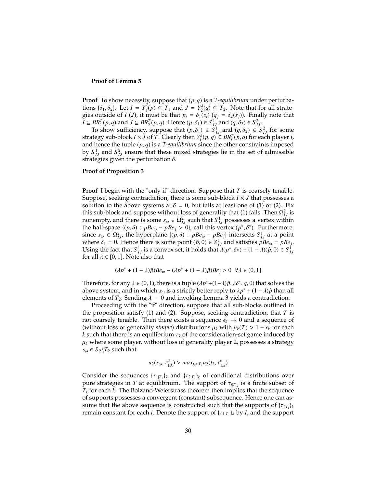#### **Proof of Lemma 5**

**Proof** To show necessity, suppose that (*p*, *<sup>q</sup>*) is a *T-equilibrium* under perturbations  $\{\delta_1, \delta_2\}$ . Let  $I = Y_1^{\delta}(p) \subseteq T_1$  and  $J = Y_2^{\delta}(q) \subseteq T_2$ . Note that for all strate-<br>gias outside of  $I(I)$  it must be that  $p_i = \delta_i(s_i) (q_i - \delta_i(s_i))$ . Finally note that gies outside of *I* (*J*), it must be that  $p_i = \delta_1(s_i)$  ( $q_j = \delta_2(s_j)$ ). Finally note that  $I \subseteq BR_1^T(p, q)$  and  $J \subseteq BR_2^T(p, q)$ . Hence  $(p, \delta_1) \in S_{I,J}^1$  and  $(q, \delta_2) \in S_{I,J}^2$ .<br>To show sufficiency suppose that  $(p, \delta_1) \in S_1^1$  and  $(q, \delta_2) \in S_{I,J}^2$ .

To show sufficiency, suppose that  $(p, \delta_1) \in S^1_{IJ}$  and  $(q, \delta_2) \in S^2_{IJ}$  for some theory sub-block  $I \times I$  of  $T$ . Clearly then  $Y^{\delta}(p, q) \subseteq RR^T(p, q)$  for each player i strategy sub-block *I* × *J* of *T*. Clearly then  $Y_i^{\delta}(p, q) \subseteq BR_i^T(p, q)$  for each player *i*, and hence the tuple  $(p, q)$  is a *T-equilibrium* since the other constraints imposed and hence the tuple (*p*, *<sup>q</sup>*) is a *T-equilibrium* since the other constraints imposed by  $S_{IJ}^1$  and  $S_{IJ}^2$  ensure that these mixed strategies lie in the set of admissible strategies given the perturbation  $\delta$ .

#### **Proof of Proposition 3**

**Proof** I begin with the "only if" direction. Suppose that *T* is coarsely tenable. Suppose, seeking contradiction, there is some sub-block *I* × *J* that possesses a solution to the above systems at  $\delta = 0$ , but fails at least one of (1) or (2). Fix this sub-block and suppose without loss of generality that (1) fails. Then  $\Omega_{IJ}^2$  is nonempty, and there is some  $s_{\omega} \in \Omega_{1J}^2$  such that  $S_{1J}^1$  possesses a vertex within the half-space  $\{(p, \delta) : pBe_{\omega} - pBe_j > 0\}$ , call this vertex  $(p^*, \delta^*)$ . Furthermore,<br>since  $s \in \Omega^2$ , the hyperplane  $\{(p, \delta) : pBe_{\omega} - pBe_j\}$  intersects  $S^1$ , at a point since  $s_{\omega} \in \Omega_{IJ}^2$ , the hyperplane  $\{(p,\delta) : pBe_{\omega} - pBe_j\}$  intersects  $S_{IJ}^1$  at a point where  $\delta_2 = 0$ . Hence there is some point  $(\delta, 0) \in S^1$  and satisfies  $nBe_{\omega} - nBe_{\omega}$ . where  $\delta_1 = 0$ . Hence there is some point  $(\hat{p}, 0) \in S_{IJ}^1$  and satisfies  $pBe_{\omega} = pBe_j$ .<br>Leing the fact that  $S^{\perp}$  is a convex set, it holds that  $J(n^* \delta x) + (1 - J)(\hat{n}, 0) \in S^{\perp}$ . Using the fact that  $S_{IJ}^1$  is a convex set, it holds that  $\lambda(p^*, \delta^*) + (1 - \lambda)(\hat{p}, 0) \in S_{IJ}^1$ <br>for all  $\lambda \in [0, 1]$ . Note also that for all  $\lambda \in [0, 1]$ . Note also that

$$
(\lambda p^* + (1 - \lambda)\hat{p})Be_\omega - (\lambda p^* + (1 - \lambda)\hat{p})Be_j > 0 \ \forall \lambda \in (0, 1]
$$

Therefore, for any  $\lambda \in (0, 1)$ , there is a tuple  $(\lambda p^* + (1-\lambda)\hat{p}, \lambda \delta^*, q, 0)$  that solves the above system, and in which s, is a strictly better reply to  $\lambda n^* + (1-\lambda)\hat{p}$  than all above system, and in which  $s_{\omega}$  is a strictly better reply to  $\lambda p^* + (1 - \lambda)\hat{p}$  than all alements of  $T_2$ . Sending  $\lambda \to 0$  and invoking Lemma 3 vields a contradiction elements of  $T_2$ . Sending  $\lambda \rightarrow 0$  and invoking Lemma 3 yields a contradiction.

Proceeding with the "if" direction, suppose that all sub-blocks outlined in the proposition satisfy (1) and (2). Suppose, seeking contradiction, that *T* is not coarsely tenable. Then there exists a sequence  $\epsilon_k \to 0$  and a sequence of (without loss of generality *simple*) distributions  $\mu_k$  with  $\mu_k(T) > 1 - \epsilon_k$  for each *k* such that there is an equilibrium  $\tau_k$  of the consideration-set game induced by  $\mu_k$  where some player, without loss of generality player 2, possesses a strategy  $s_{\omega} \in S_2 \backslash T_2$  such that

$$
u_2(s_\omega, \tau_{1,k}^\mu) > max_{t_2 \in T_2} u_2(t_2, \tau_{1,k}^\mu)
$$

Consider the sequences  $\{\tau_{1|T_1}\}_k$  and  $\{\tau_{2|T_2}\}_k$  of conditional distributions over<br>pure strategies in T at equilibrium. The support of  $\tau_{xx}$  is a finite subset of pure strategies in *T* at equilibrium. The support of  $τ_{i|T_{ik}}$  is a finite subset of  $T$  for each  $k$ . The Bolzano-Weierstrass theorem then implies that the sequence *T<sup>i</sup>* for each *k*. The Bolzano-Weierstrass theorem then implies that the sequence of supports possesses a convergent (constant) subsequence. Hence one can assume that the above sequence is constructed such that the supports of  $\{\tau_{i|T_i}\}_k$ <br>remain constant for each *i*. Denote the support of  $\{\tau_{i|x}\}_k$  by *I*, and the support remain constant for each *i*. Denote the support of  ${\{\tau_{1|T_1}\}}_k$  by *I*, and the support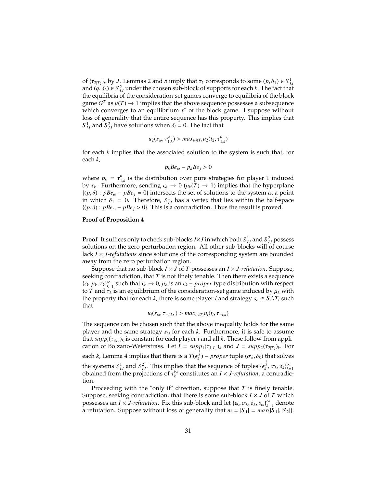of  ${\tau_{2|T_2}}_k$  by *J*. Lemmas 2 and 5 imply that  ${\tau_k}$  corresponds to some  $(p, \delta_1) \in S^1$ <br>and  $(a, \delta_2) \in S^2$  under the chosen sub-block of supports for each k. The fact that and  $(q, \delta_2) \in S^2_{IJ}$  under the chosen sub-block of supports for each *k*. The fact that that the consideration-set games converge to equilibria of the block the equilibria of the consideration-set games converge to equilibria of the block game  $G^T$  as  $\mu(T) \to 1$  implies that the above sequence possesses a subsequence without which converges to an equilibrium  $\tau^*$  of the block game. I suppose without loss of generality that the entire sequence has this property. This implies that loss of generality that the entire sequence has this property. This implies that  $S_{IJ}^1$  and  $S_{IJ}^2$  have solutions when  $\delta_i = 0$ . The fact that

$$
u_2(s_\omega, \tau_{1,k}^\mu) > max_{t_2 \in T_2} u_2(t_2, \tau_{1,k}^\mu)
$$

for each *k* implies that the associated solution to the system is such that, for each *k*,

$$
p_k B e_\omega - p_k B e_j > 0
$$

where  $p_k = \tau_{1,k}^\mu$  is the distribution over pure strategies for player 1 induced<br>by  $\tau_k$ . Furthermore, sending  $\epsilon_k \to 0$  ( $\mu_k(T) \to 1$ ) implies that the hyperplane by  $\tau_k$ . Furthermore, sending  $\epsilon_k \to 0$  ( $\mu_k(T) \to 1$ ) implies that the hyperplane<br> $\mu_k$ . Furthermore, sending  $\epsilon_k \to 0$  ( $\mu_k(T) \to 1$ ) implies that the hyperplane  ${(p, \delta): pBe_{\omega} - pBe_i = 0}$  intersects the set of solutions to the system at a point in which  $\delta_1 = 0$ . Therefore,  $S_{IJ}^1$  has a vertex that lies within the half-space  $J(n,\delta)$ :  $nBe_n = nBe_n > 0$ . This is a contradiction. Thus the result is proved  ${(p, \delta): pBe_{\omega} - pBe_i > 0}.$  This is a contradiction. Thus the result is proved.

#### **Proof of Proposition 4**

**Proof** It suffices only to check sub-blocks  $I \times J$  in which both  $S^1_{IJ}$  and  $S^2_{IJ}$  possess solutions on the zero perturbation region. All other sub-blocks will of course lack *I* × *J-refutations* since solutions of the corresponding system are bounded away from the zero perturbation region.

Suppose that no sub-block *I* × *J* of *T* possesses an *I* × *J-refutation*. Suppose, seeking contradiction, that *T* is not finely tenable. Then there exists a sequence  $\{\epsilon_k, \mu_k, \tau_k\}_{k=1}^{\infty}$  such that  $\epsilon_k \to 0$ ,  $\mu_k$  is an  $\epsilon_k$  – *proper* type distribution with respect  $\tau$  and  $\tau$ , is an equilibrium of the consideration-set game induced by  $\mu_k$  with to *T* and  $\tau_k$  is an equilibrium of the consideration-set game induced by  $\mu_k$  with the property that for each *k*, there is some player *i* and strategy  $s_{\omega} \in S_i \backslash T_i$  such that

$$
u_i(s_{\omega}, \tau_{-i,k}, ) > max_{t_i \in T_i} u_i(t_i, \tau_{-i,k})
$$

The sequence can be chosen such that the above inequality holds for the same player and the same strategy *<sup>s</sup>*ω for each *<sup>k</sup>*. Furthermore, it is safe to assume that  $supp_i(\tau_{i|T_i})_k$  is constant for each player *i* and all *k*. These follow from appli-<br>cation of Bolzano-Weierstrass, Let  $I = sump_i(\tau_{i|x_i})_i$  and  $I = sump_i(\tau_{i|x_i})_i$ . For cation of Bolzano-Weierstrass. Let  $I = supp_1(\tau_{1|T_1})_k$  and  $J = supp_2(\tau_{2|T_2})_k$ . For each *k*, Lemma 4 implies that there is a  $T(\epsilon_k^{\frac{1}{3}})$  – *proper* tuple ( $\sigma_k$ ,  $\delta_k$ ) that solves the systems  $S_{IJ}^1$  and  $S_{IJ}^2$ . This implies that the sequence of tuples  $\{\epsilon_k^{\frac{1}{3}}, \sigma_k, \delta_k\}_{k=1}^{\infty}$  obtained from the projections of  $\tau_k^{\mu_k}$  constitutes an  $I \times J$ -refutation, a contradiction tion.

Proceeding with the "only if" direction, suppose that *T* is finely tenable. Suppose, seeking contradiction, that there is some sub-block  $I \times J$  of  $T$  which possesses an *I* × *J-refutation*. Fix this sub-block and let { $\epsilon_k$ ,  $\sigma_k$ ,  $\delta_k$ ,  $s_\omega$ } $_{k=1}^\infty$  denote a refutation. Suppose without loss of generality that  $m = |S_1| = max(|S_1|, |S_2|)$ .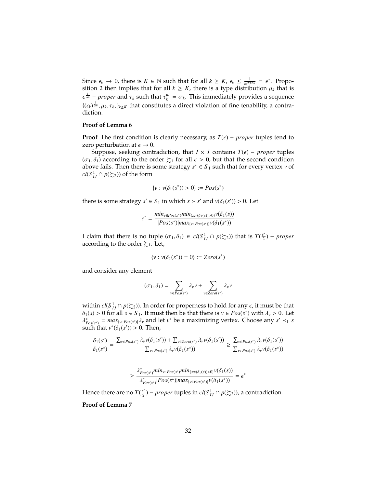Since  $\epsilon_k \to 0$ , there is  $K \in \mathbb{N}$  such that for all  $k \ge K$ ,  $\epsilon_k \le \frac{1}{m^2 2^{2m}} = \epsilon^*$ . Propo-<br>sition 2 then implies that for all  $k > K$  there is a type distribution  $\mu_k$  that is sition 2 then implies that for all  $k \geq K$ , there is a type distribution  $\mu_k$  that is  ${(\epsilon_k)}^{\frac{1}{2m}}$ ,  $\mu_k$ ,  $\tau_k$ ,  $\}_{k\geq K}$  that constitutes a direct violation of fine tenability, a contra- $\frac{1}{2m}$  – *proper* and  $\tau_k$  such that  $\tau_k^{u_k} = \sigma_k$ . This immediately provides a sequence diction.

#### **Proof of Lemma 6**

**Proof** The first condition is clearly necessary, as  $T(\epsilon)$  – *proper* tuples tend to zero perturbation at  $\epsilon \to 0$ .

Suppose, seeking contradiction, that  $I \times J$  contains  $T(\epsilon)$  – *proper* tuples  $(\sigma_1, \delta_1)$  according to the order  $\succsim_1$  for all  $\epsilon > 0$ , but that the second condition above fails. Then there is some strategy  $s^* \in S_1$  such that for every vertex *v* of *cl*( $S$ <sup>1</sup> $I$ </sup>*J* ∩ *p*( $\succsim$ 2)) of the form

$$
\{v : v(\delta_1(s^*)) > 0\} := Pos(s^*)
$$

there is some strategy  $s' \in S_1$  in which  $s > s'$  and  $v(\delta_1(s')) > 0$ . Let

$$
\epsilon^* = \frac{\min_{v \in Pos(s^*)} \min_{\{s : v(\delta_1(s)) > 0\}} v(\delta_1(s))}{|Pos(s^*)| \max_{\{v \in Pos(s^*)\}} v(\delta_1(s^*))}
$$

I claim that there is no tuple (*σ*<sub>1</sub>, *δ*<sub>1</sub>) ∈ *cl*(*S*<sup>1</sup><sub>*I*</sub>} ∩ *p*( $\gtrsim$ <sub>2</sub>)) that is *T*( $\frac{\epsilon^*}{2}$  according to the order  $\succ$ . Let  $(\frac{\varepsilon^*}{2})$  – proper according to the order  $\succsim_1$ . Let,

{
$$
v : v(\delta_1(s^*)) = 0
$$
} :=  $Zero(s^*)$ 

and consider any element

$$
(\sigma_1,\delta_1)=\sum_{v\in Pos(s^*)}\lambda_v v+\sum_{v\in Zero(s^*)}\lambda_v v
$$

within  $cl(S^1_{IJ} \cap p(\Sigma_2))$ . In order for properness to hold for any  $\epsilon$ , it must be that  $\delta_l(s) > 0$  for all  $s \in S$ . It must then be that there is  $y \in Pos(s^*)$  with  $\lambda > 0$ . Let  $\delta_1(s) > 0$  for all  $s \in S_1$ . It must then be that there is  $v \in Pos(s^*)$  with  $\lambda_v > 0$ . Let  $\lambda^* = max_{v \in S_1} \delta_v$  and let  $v^*$  be a maximizing vertex. Choose any  $s' < s$ such that  $v^*(\delta_1(s')) > 0$ . Then,  $P_{\text{pos}(s^*)} = \max_{\{v \in \text{Pos}(s^*)\}} \lambda_v$  and let *v*<sup>\*</sup> be a maximizing vertex. Choose any *s*<sup>'</sup>  $\leq_1$  *s*<br>uch that *v*<sup>\*</sup>(*s*⋅(··<sup>/</sup>)) > 0. Then

$$
\frac{\delta_1(s')}{\delta_1(s^*)} = \frac{\sum_{v \in Pos(s^*)} \lambda_v v(\delta_1(s')) + \sum_{v \in Zero(s^*)} \lambda_v v(\delta_1(s'))}{\sum_{v \in Pos(s^*)} \lambda_v v(\delta_1(s^*))} \ge \frac{\sum_{v \in Pos(s^*)} \lambda_v v(\delta_1(s'))}{\sum_{v \in Pos(s^*)} \lambda_v v(\delta_1(s^*))}
$$

$$
\geq \frac{\lambda^*_{Pos(s^*)}min_{v \in Pos(s^*)}min_{\{s: v(\delta_1(s))>0\}} v(\delta_1(s))}{\lambda^*_{Pos(s^*)} |Pos(s^*)| max_{\{v \in Pos(s^*)\}} v(\delta_1(s^*))} = \epsilon^*
$$

Hence there are no  $T(\frac{\epsilon^*}{2})$  $\frac{e^*}{2}$ ) − *proper* tuples in *cl*(*S*<sup>1</sup><sub>*IJ*</sub> ∩ *p*( $\succsim$ <sub>2</sub>)), a contradiction.

#### **Proof of Lemma 7**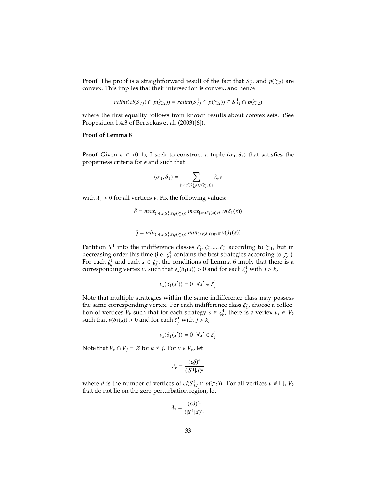**Proof** The proof is a straightforward result of the fact that  $S$ <sup>1</sup> $I$ <sub>*IJ*</sub> and  $p(\succsim 2)$  are convex. This implies that their intersection is convex, and hence

$$
relint(cl(S_{IJ}^1) \cap p(\succsim_2)) = relint(S_{IJ}^1 \cap p(\succsim_2)) \subseteq S_{IJ}^1 \cap p(\succsim_2)
$$

where the first equality follows from known results about convex sets. (See Proposition 1.4.3 of Bertsekas et al. (2003)[6]).

#### **Proof of Lemma 8**

**Proof** Given  $\epsilon \in (0, 1)$ , I seek to construct a tuple  $(\sigma_1, \delta_1)$  that satisfies the properness criteria for  $\epsilon$  and such that

$$
(\sigma_1, \delta_1) = \sum_{\{v \in cl(S^1_{IJ} \cap p(\succsim z))\}} \lambda_v v
$$

with  $\lambda$ <sup>*v*</sup> > 0 for all vertices *v*. Fix the following values:

$$
\bar{\delta} = \max_{\{v \in cl(S^1_{IJ} \cap p(\succsim_2))} \max_{\{s: v(\delta_1(s))>0\}} v(\delta_1(s))
$$

$$
\underline{\delta} = min_{\{v \in cl(S^1_{IJ} \cap p(\succsim_2))} min_{\{s: v(\delta_1(s)) > 0\}} v(\delta_1(s))
$$

Partition  $S^1$  into the indifference classes  $\xi_1^1, \xi_2^1, ..., \xi_n^1$  according to  $\succsim_1$ , but in decreasing order this time (i.e.  $\zeta_1^1$  contains the best strategies according to  $\succsim_1$ ) decreasing order this time (i.e.  $\zeta_1^1$  contains the best strategies according to  $\succsim 1$ ).<br>For each  $\zeta_1^1$  and each  $s \in \zeta_1^1$  the conditions of I emma 6 imply that there is a For each  $\zeta_k^1$  and each  $s \in \zeta_k^1$ , the conditions of Lemma 6 imply that there is a corresponding vertex  $v$  such that  $v(\delta_k(s)) > 0$  and for each  $\zeta^1$  with  $i > k$ corresponding vertex  $v_s$  such that  $v_s(\delta_1(s)) > 0$  and for each  $\zeta_j^1$  with  $j > k$ ,

$$
\nu_s(\delta_1(s')) = 0 \ \forall s' \in \zeta_j^1
$$

Note that multiple strategies within the same indifference class may possess the same corresponding vertex. For each indifference class  $\zeta_k^1$ , choose a collection of vertices  $V_k$  such that for each strategy  $s \in \zeta^1$  there is a vertex  $v \in V_k$ . tion of vertices  $V_k$  such that for each strategy  $s \in \zeta_k^1$ , there is a vertex  $v_s \in V_k$ <br>such that  $v(\delta_k(s)) > 0$  and for each  $\zeta^1$  with  $i > k$ such that  $v(\delta_1(s)) > 0$  and for each  $\zeta_j^1$  with  $j > k$ ,

$$
\nu_s(\delta_1(s')) = 0 \ \forall s' \in \zeta_j^1
$$

Note that  $V_k \cap V_j = \emptyset$  for  $k \neq j$ . For  $v \in V_k$ , let

$$
\lambda_v = \frac{(\epsilon \underline{\delta})^k}{(|S^1|d)^k}
$$

where *d* is the number of vertices of  $cl(S_{IJ}^1 \cap p(\succsim_2))$ . For all vertices  $v \notin \bigcup_k V_k$ that do not lie on the zero perturbation region, let

$$
\lambda_v = \frac{(\epsilon \underline{\delta})^{r_1}}{(|S^1|d)^{r_1}}
$$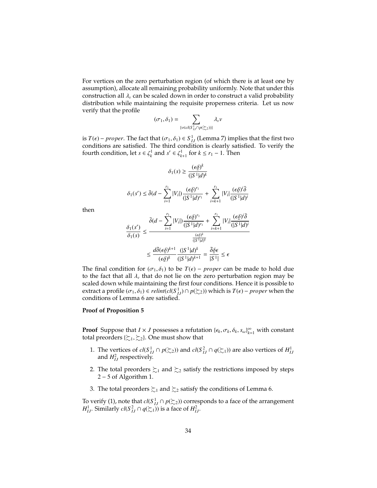For vertices on the zero perturbation region (of which there is at least one by assumption), allocate all remaining probability uniformly. Note that under this construction all  $\lambda$ <sub>v</sub> can be scaled down in order to construct a valid probability distribution while maintaining the requisite properness criteria. Let us now verify that the profile

$$
(\sigma_1, \delta_1) = \sum_{\{v \in cl(S^1_{U} \cap p(\succsim z))\}} \lambda_v v
$$

is  $T(\epsilon)$  – *proper*. The fact that  $(\sigma_1, \delta_1) \in S^1$  (Lemma 7) implies that the first two conditions are satisfied. The third condition is clearly satisfied. To verify the conditions are satisfied. The third condition is clearly satisfied. To verify the fourth condition, let  $s \in \zeta_k^1$  and  $s' \in \zeta_{k+1}^1$  for  $k \leq r_1 - 1$ . Then

$$
\delta_1(s) \ge \frac{(\epsilon \underline{\delta})^k}{(|S^1|d)^k}
$$

$$
\delta_1(s') \leq \bar{\delta}(d - \sum_{i=1}^{r_1} |V_i|) \frac{(\epsilon \delta)^{r_1}}{(|S^1|d)^{r_1}} + \sum_{i=k+1}^{r_1} |V_i| \frac{(\epsilon \delta)^i \bar{\delta}}{(|S^1|d)^i}
$$

then

$$
\frac{\delta_1(s')}{\delta_1(s)} \le \frac{\bar{\delta}(d - \sum_{i=1}^{r_1} |V_i|) \frac{(\epsilon \underline{\delta})^{r_1}}{(|S^1|d)^{r_1}} + \sum_{i=k+1}^{r_1} |V_i| \frac{(\epsilon \underline{\delta})^i \bar{\delta}}{(|S^1|d)^i}
$$

$$
\le \frac{d\bar{\delta}(\epsilon \underline{\delta})^{k+1}}{(\epsilon \underline{\delta})^k} \frac{(|S^1|d)^k}{(|S^1|d)^{k+1}} = \frac{\bar{\delta}\underline{\delta}\epsilon}{|S^1|} \le \epsilon
$$

The final condition for  $(\sigma_1, \delta_1)$  to be  $T(\epsilon)$  – *proper* can be made to hold due<br>to the fact that all duthat do not lie on the zero perturbation region may be to the fact that all  $\lambda_{\nu}$  that do not lie on the zero perturbation region may be scaled down while maintaining the first four conditions. Hence it is possible to extract a profile  $(\sigma_1, \delta_1) \in relint(cl(S_{IJ}^1) \cap p(\succsim_2))$  which is  $T(\epsilon)$  – *proper* when the conditions of I emma 6 are satisfied conditions of Lemma 6 are satisfied.

#### **Proof of Proposition 5**

**Proof** Suppose that  $I \times J$  possesses a refutation  $\{\epsilon_k, \sigma_k, \delta_k, s_\omega\}_{k=1}^\infty$  with constant total preorders  $\{\succ_k, \succ_k\}$  One must show that total preorders { $\succsim_1, \succsim_2$ }. One must show that

- 1. The vertices of  $cl(S_{IJ}^1 \cap p(\succeq_2))$  and  $cl(S_{IJ}^2 \cap q(\succeq_1))$  are also vertices of  $H_{IJ}^1$ and  $H_{IJ}^2$  respectively.
- 2. The total preorders  $\succsim_1$  and  $\succsim_2$  satisfy the restrictions imposed by steps  $2 - 5$  of Algorithm 1.
- 3. The total preorders  $\succsim_1$  and  $\succsim_2$  satisfy the conditions of Lemma 6.

To verify (1), note that  $cl(S^1_{IJ} \cap p(\succeq_2))$  corresponds to a face of the arrangement *H*<sub>1</sub>*I*</sub>. Similarly *cl*(*S*<sup>2</sup><sub>*IJ*</sub></sub>  $\cap$  *q*( $\succsim$ <sub>1</sub>)) is a face of *H*<sup>2</sup><sub>*IJ*</sub>.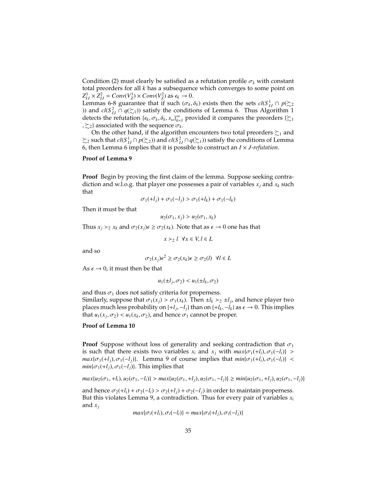Condition (2) must clearly be satisfied as a refutation profile  $\sigma_k$  with constant total preorders for all *k* has a subsequence which converges to some point on  $Z_{IJ}^1 \times Z_{IJ}^2 = Conv(V_Z^1) \times Conv(V_Z^2)$  as  $\epsilon_k \to 0$ .<br>*I* emmas 6-8 guarantee that if such ( $\tau$ .

Lemmas 6-8 guarantee that if such  $(\sigma_k, \delta_k)$  exists then the sets  $cl(S^1_{IJ} \cap p(\Sigma_2)$ <br>
i) and  $cl(S^2 \cap q(\Sigma_1))$  satisfy the conditions of Lemma 6. Thus Algorithm 1 )) and *cl*( $S^2$ <sub>*IJ*</sub> ∩ *q*( $\succsim$ <sub>1</sub>)) satisfy the conditions of Lemma 6. Thus Algorithm 1 detects the refutation  $\{\epsilon_k, \sigma_k, \delta_k, s_\omega\}_{k=1}^\infty$  provided it compares the preorders  $\{\xi_1, \xi_2\}$  $\{z_2\}$  associated with the sequence  $\sigma_k$ .

On the other hand, if the algorithm encounters two total preorders  $\succeq_1$  and  $\succsim_2$  such that  $cl(S^1_{IJ} \cap p(\succsim_2))$  and  $cl(S^2_{IJ} \cap q(\succsim_1))$  satisfy the conditions of Lemma 6, then Lemma 6 implies that it is possible to construct an *I* × *J*-*refutation*.

#### **Proof of Lemma 9**

**Proof** Begin by proving the first claim of the lemma. Suppose seeking contradiction and w.l.o.g. that player one possesses a pair of variables  $x_j$  and  $x_k$  such that

$$
\sigma_1(+l_j) + \sigma_1(-l_j) > \sigma_1(+l_k) + \sigma_1(-l_k)
$$

Then it must be that

$$
u_2(\sigma_1, x_j) > u_2(\sigma_1, x_k)
$$

Thus  $x_j >_2 x_k$  and  $\sigma_2(x_j) \in \ge \sigma_2(x_k)$ . Note that as  $\epsilon \to 0$  one has that

*x* ≻2 *l*  $\forall x \in V, l \in L$ 

and so

$$
\sigma_2(x_j)\epsilon^2 \ge \sigma_2(x_k)\epsilon \ge \sigma_2(l) \ \ \forall l \in L
$$

As  $\epsilon \to 0$ , it must then be that

$$
u_1(\pm l_j, \sigma_2) < u_1(\pm l_k, \sigma_2)
$$

and thus  $\sigma_1$  does not satisfy criteria for properness. Similarly, suppose that  $\sigma_1(x_j) > \sigma_1(x_k)$ . Then  $\pm l_k >_2 \pm l_j$ , and hence player two places much less probability on  $\{\pm l, -l\}$  than on  $\{\pm l, -l\}$  as  $\epsilon \to 0$ . This implies places much less probability on  $\{+l_j, -l_j\}$  than on  $\{+l_k, -l_k\}$  as  $\epsilon \to 0$ . This implies that  $u_i(x, \tau_0) \le u_i(x, \tau_0)$  and hence  $\sigma_i$  cannot be proper that  $u_1(x_j, \sigma_2) < u_1(x_k, \sigma_2)$ , and hence  $\sigma_1$  cannot be proper.

#### **Proof of Lemma 10**

**Proof** Suppose without loss of generality and seeking contradiction that  $\sigma_1$ is such that there exists two variables  $x_i$  and  $x_j$  with  $max{\lbrace \sigma_1(+l_i), \sigma_1(-l_i) \rbrace}$  > *max*{ $\sigma_1$ (+*l*<sub>*j*</sub>),  $\sigma_1$ (−*l<sub>i</sub>*)}. Lemma 9 of course implies that  $min{\{\sigma_1(+l_i), \sigma_1(-l_i)\}}$  <  $min{\lbrace \sigma_1(+l_i), \sigma_1(-l_i) \rbrace}$ . This implies that

$$
max\{u_2(\sigma_1, +l_i), u_2(\sigma_1, -l_i)\} > max\{u_2(\sigma_1, +l_j), u_2(\sigma_1, -l_j)\} \ge \min\{u_2(\sigma_1, +l_j), u_2(\sigma_1, -l_j)\}
$$

and hence  $\sigma_2(+l_i) + \sigma_2(-l_i) > \sigma_2(+l_j) + \sigma_2(-l_j)$  in order to maintain properness. But this violates Lemma 9, a contradiction. Thus for every pair of variables  $x_i$ and *x<sup>j</sup>*

$$
max\{\sigma_i(+l_i), \sigma_i(-l_i)\} = max\{\sigma_i(+l_j), \sigma_i(-l_j)\}\
$$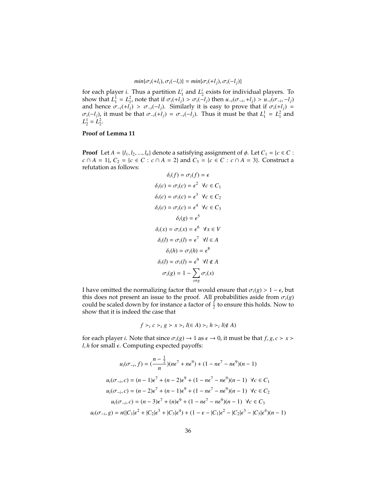$$
min{\lbrace \sigma_i(+l_i), \sigma_i(-l_i) \rbrace} = min{\lbrace \sigma_i(+l_j), \sigma_i(-l_j) \rbrace}
$$

for each player *i*. Thus a partition  $L_1^i$  and  $L_2^i$  exists for individual players. To show that  $L_1^1 = L_1^2$ , note that if  $\sigma_i(+i_j) > \sigma_i(-i_j)$  then  $u_{-i}(\sigma_{-i},+i_j) > u_{-i}(\sigma_{-i},-i_j)$ <br>and hence  $\sigma_i$   $(+i_j) > \sigma_i(-i_j)$ . Similarly it is easy to prove that if  $\sigma_i(+i_j) =$ and hence  $\sigma_{-i}(+l_j) > \sigma_{-i}(-l_j)$ . Similarly it is easy to prove that if  $\sigma_i(+l_j) =$  $\sigma_i(-l_j)$ , it must be that  $\sigma_{-i}(+l_j) = \sigma_{-i}(-l_j)$ . Thus it must be that  $L_1^1 = L_1^2$  and  $L_1^1 - L_2^2$  $L_2^1 = L_2^2$ .

#### **Proof of Lemma 11**

**Proof** Let *A* = {*l*<sub>1</sub>, *l*<sub>2</sub>, ..., *l*<sub>*n*</sub>} denote a satisfying assignment of  $\phi$ . Let *C*<sub>1</sub> = {*c* ∈ *C* : *c* ∩ *A* = 1}, *C*<sub>2</sub> = {*c* ∈ *C* : *c* ∩ *A* = 2} and *C*<sub>3</sub> = {*c* ∈ *C* : *c* ∩ *A* = 3}. Construct a refutation as follows:

$$
\delta_i(f) = \sigma_i(f) = \epsilon
$$
  
\n
$$
\delta_i(c) = \sigma_i(c) = \epsilon^2 \ \forall c \in C_1
$$
  
\n
$$
\delta_i(c) = \sigma_i(c) = \epsilon^3 \ \forall c \in C_2
$$
  
\n
$$
\delta_i(c) = \sigma_i(c) = \epsilon^4 \ \forall c \in C_3
$$
  
\n
$$
\delta_i(g) = \epsilon^5
$$
  
\n
$$
\delta_i(x) = \sigma_i(x) = \epsilon^6 \ \forall x \in V
$$
  
\n
$$
\delta_i(l) = \sigma_i(l) = \epsilon^7 \ \forall l \in A
$$
  
\n
$$
\delta_i(l) = \sigma_i(l) = \epsilon^8
$$
  
\n
$$
\delta_i(l) = \sigma_i(l) = \epsilon^9 \ \forall l \notin A
$$
  
\n
$$
\sigma_i(g) = 1 - \sum_{s \neq g} \sigma_i(s)
$$

I have omitted the normalizing factor that would ensure that  $\sigma_i(g) > 1 - \epsilon$ , but this does not present an issue to the proof. All probabilities aside from  $\sigma_i(g)$ could be scaled down by for instance a factor of  $\frac{1}{2}$  to ensure this holds. Now to show that it is indeed the case that

$$
f \succ_i c \succ_i g \succ x \succ_i l(\in A) \succ_i h \succ_i l(\notin A)
$$

for each player *i*. Note that since  $\sigma_i(g) \to 1$  as  $\epsilon \to 0$ , it must be that  $f, g, c > x >$  $l, h$  for small  $\epsilon$ . Computing expected payoffs:

$$
u_i(\sigma_{-i}, f) = \left(\frac{n - \frac{1}{2}}{n}\right)(n\epsilon^7 + n\epsilon^9) + (1 - n\epsilon^7 - n\epsilon^9)(n - 1)
$$
  

$$
u_i(\sigma_{-i}, c) = (n - 1)\epsilon^7 + (n - 2)\epsilon^9 + (1 - n\epsilon^7 - n\epsilon^9)(n - 1) \quad \forall c \in C_1
$$
  

$$
u_i(\sigma_{-i}, c) = (n - 2)\epsilon^7 + (n - 1)\epsilon^9 + (1 - n\epsilon^7 - n\epsilon^9)(n - 1) \quad \forall c \in C_2
$$
  

$$
u_i(\sigma_{-i}, c) = (n - 3)\epsilon^7 + (n)\epsilon^9 + (1 - n\epsilon^7 - n\epsilon^9)(n - 1) \quad \forall c \in C_3
$$
  

$$
u_i(\sigma_{-i}, g) = n(|C_1|\epsilon^2 + |C_2|\epsilon^3 + |C_3|\epsilon^4) + (1 - \epsilon - |C_1|\epsilon^2 - |C_2|\epsilon^3 - |C_3|\epsilon^4)(n - 1)
$$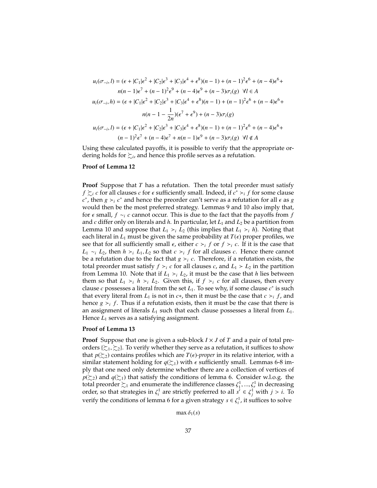$$
u_i(\sigma_{-i}, l) = (\epsilon + |C_1|\epsilon^2 + |C_2|\epsilon^3 + |C_3|\epsilon^4 + \epsilon^8)(n-1) + (n-1)^2\epsilon^6 + (n-4)\epsilon^6 +
$$
  
\n
$$
n(n-1)\epsilon^7 + (n-1)^2\epsilon^9 + (n-4)\epsilon^9 + (n-3)\sigma_i(g) \quad \forall l \in A
$$
  
\n
$$
u_i(\sigma_{-i}, h) = (\epsilon + |C_1|\epsilon^2 + |C_2|\epsilon^3 + |C_3|\epsilon^4 + \epsilon^8)(n-1) + (n-1)^2\epsilon^6 + (n-4)\epsilon^6 +
$$
  
\n
$$
n(n-1-\frac{1}{2n})(\epsilon^7 + \epsilon^9) + (n-3)\sigma_i(g)
$$
  
\n
$$
u_i(\sigma_{-i}, l) = (\epsilon + |C_1|\epsilon^2 + |C_2|\epsilon^3 + |C_3|\epsilon^4 + \epsilon^8)(n-1) + (n-1)^2\epsilon^6 + (n-4)\epsilon^6 +
$$
  
\n
$$
(n-1)^2\epsilon^7 + (n-4)\epsilon^7 + n(n-1)\epsilon^9 + (n-3)\sigma_i(g) \quad \forall l \notin A
$$

Using these calculated payoffs, it is possible to verify that the appropriate ordering holds for  $\succsim$ <sub>*i*</sub>, and hence this profile serves as a refutation.

#### **Proof of Lemma 12**

**Proof** Suppose that *T* has a refutation. Then the total preorder must satisfy *f*  $\sum_{i} c$  for all clauses *c* for  $\epsilon$  sufficiently small. Indeed, if  $c^* > i$  *f* for some clause  $c^*$  then  $a > c^*$  and hence the preorder can't serve as a refutation for all  $\epsilon$  as  $a$  $c^*$ , then  $g \succ_i c^*$  and hence the preorder can't serve as a refutation for all  $\epsilon$  as *g* would then he the most preferred strategy. Lemmas 9 and 10 also imply that would then be the most preferred strategy. Lemmas 9 and 10 also imply that, for <sup>ϵ</sup> small, *<sup>f</sup>* <sup>∼</sup>*<sup>i</sup> <sup>c</sup>* cannot occur. This is due to the fact that the payoffs from *<sup>f</sup>* and *c* differ only on literals and *h*. In particular, let *L*<sup>1</sup> and *L*<sup>2</sup> be a partition from Lemma 10 and suppose that  $L_1$  >*i*  $L_2$  (this implies that  $L_1$  >*i h*). Noting that each literal in  $L_1$  must be given the same probability at  $T(\epsilon)$  proper profiles, we see that for all sufficiently small  $\epsilon$ , either  $c > i$  *f* or  $f > i$  *c*. If it is the case that  $f \circ c$  *l*, then  $h > l$ ,  $f \circ c$  that  $c > i$  for all clauses  $c$ . Hence there cannot *L*<sub>1</sub> ∼*i L*<sub>2</sub>, then *h* ≻*i L*<sub>1</sub>, *L*<sub>2</sub> so that *c* ≻*i f* for all clauses *c*. Hence there cannot be a refutation due to the fact that *a* >*i c*. Therefore if a refutation exists the be a refutation due to the fact that  $g \succ_i c$ . Therefore, if a refutation exists, the total preorder must satisfy  $f \succ_i c$  for all clauses  $c$ , and  $L_1 \succ L_2$  in the partition from Lemma 10. Note that if  $L_1 \succ_i L_2$ , it must be the case that *h* lies between them so that  $L_1 \succ_i h \succ_i L_2$ . Given this, if  $f \succ_i c$  for all clauses, then every clause  $c$  possesses a literal from the set  $L_1$ . To see why, if some clause  $c^*$  is such that every literal from  $L_1$  is not in  $c$ <sup>\*</sup>, then it must be the case that  $c >_i f$ , and hence  $g \succ_i f$ . Thus if a refutation exists, then it must be the case that there is an assignment of literals *L*<sup>1</sup> such that each clause possesses a literal from *L*1. Hence  $L_1$  serves as a satisfying assignment.

#### **Proof of Lemma 13**

**Proof** Suppose that one is given a sub-block  $I \times J$  of  $T$  and a pair of total preorders { $\gtrsim_1$ ,  $\gtrsim_2$ }. To verify whether they serve as a refutation, it suffices to show that  $p(\succeq_2)$  contains profiles which are  $T(\epsilon)$ *-proper* in its relative interior, with a similar statement holding for  $q(\succsim_1)$  with  $\epsilon$  sufficiently small. Lemmas 6-8 imply that one need only determine whether there are a collection of vertices of  $p(\succeq_2)$  and  $q(\succeq_1)$  that satisfy the conditions of lemma 6. Consider w.l.o.g. the total preorder  $\sum_1$  and enumerate the indifference classes  $\zeta_1^1, ..., \zeta_r^1$  in decreasing order so that strategies in  $\zeta_1^1$  are strictly preferred to all  $\zeta \in \zeta_1^1$  with  $i > i$ . To order, so that strategies in  $\zeta_i^1$  are strictly preferred to all  $s' \in \zeta_j^1$  with  $j > i$ . To verify the conditions of lemma 6 for a given strategy  $s \in \zeta_i^1$ , it suffices to solve

max  $\delta_1(s)$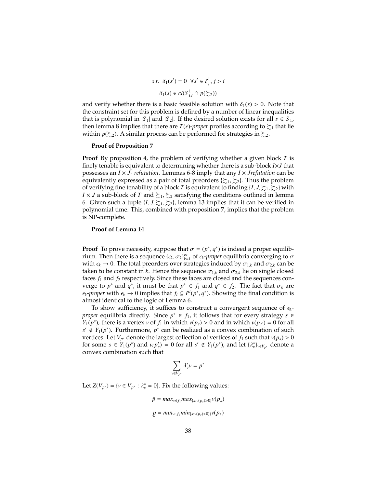$$
s.t. \delta_1(s') = 0 \ \forall s' \in \zeta_j^1, j > i
$$

$$
\delta_1(s) \in cl(S_{IJ}^1 \cap p(\succsim 2))
$$

and verify whether there is a basic feasible solution with  $\delta_1(s) > 0$ . Note that the constraint set for this problem is defined by a number of linear inequalities that is polynomial in |*S*<sub>1</sub>| and |*S*<sub>2</sub>|. If the desired solution exists for all  $s \in S_1$ , then lemma 8 implies that there are  $T(\epsilon)$ *-proper* profiles according to  $\succsim_1$  that lie within  $p(\succeq_2)$ . A similar process can be performed for strategies in  $\succsim_2$ .

#### **Proof of Proposition 7**

**Proof** By proposition 4, the problem of verifying whether a given block *T* is finely tenable is equivalent to determining whether there is a sub-block *I*×*J* that possesses an *I* × *J- refutation*. Lemmas 6-8 imply that any *I* × *Jrefutation* can be equivalently expressed as a pair of total preorders  $\{\succcurlyeq_1, \succcurlyeq_2\}$ . Thus the problem of verifying fine tenability of a block *T* is equivalent to finding  $\{I, J, \sum_{i} \sum_{i} \}$  with *I* × *J* a sub-block of *T* and  $\sum_1, \sum_2$  satisfying the conditions outlined in lemma 6. Given such a tuple  $\{I, J, \sum_{i} \sum_{j} \}$ , lemma 13 implies that it can be verified in polynomial time. This, combined with proposition 7, implies that the problem is NP-complete.

#### **Proof of Lemma 14**

**Proof** To prove necessity, suppose that  $\sigma = (p^*, q^*)$  is indeed a proper equilib-<br>rium. Then there is a sequence  $f \in \sigma^1$ , of  $\sigma^2$  and  $\sigma^2$  converging to  $\sigma$ rium. Then there is a sequence  ${\{\epsilon_k, \sigma_k\}}_{k=1}^{\infty}$  of  ${\epsilon_k}$ -proper equilibria converging to  $\sigma$ <br>with  ${\epsilon_k} \to 0$ . The total preorders over strategies induced by  ${\sigma_k}$ , and  ${\sigma_k}$ , can be with  $\epsilon_k \to 0$ . The total preorders over strategies induced by  $\sigma_{1,k}$  and  $\sigma_{2,k}$  can be taken to be constant in *k*. Hence the sequence  $\sigma_{1,k}$  and  $\sigma_{2,k}$  lie on single closed faces  $f_1$  and  $f_2$  respectively. Since these faces are closed and the sequences converge to *p*<sup>\*</sup> and  $q^*$ , it must be that  $p^* \in f_1$  and  $q^* \in f_2$ . The fact that  $\sigma_k$  are  $\epsilon_i$ -*nroner* with  $\epsilon_i \to 0$  implies that  $f \subset P^i(n^* | a^*)$ . Showing the final condition is  $\epsilon_k$ -*proper* with  $\epsilon_k \to 0$  implies that  $f_i \subseteq P^i(p^*, q^*)$ . Showing the final condition is almost identical to the logic of I emma 6 almost identical to the logic of Lemma 6.

To show sufficiency, it suffices to construct a convergent sequence of ϵ*<sup>k</sup>proper* equilibria directly. Since  $p^*$  ∈  $f_1$ , it follows that for every strategy  $s$  ∈ *Y*<sub>1</sub>(*p*<sup>\*</sup>), there is a vertex *v* of *f*<sub>1</sub> in which *v*(*p<sub><i>s*</sub></sub>) > 0 and in which *v*(*p<sub><i>s*</sub></sub>) = 0 for all  $e' \notin Y_1(n^*)$ . Eurthermore, *n*<sup>\*</sup> can be realized as a convex combination of such *s*<sup> $'$ </sup> ∉ *Y*<sub>1</sub>(*p*<sup>\*</sup>). Furthermore, *p*<sup>\*</sup> can be realized as a convex combination of such vertices. Let *V*<sub>*p*<sup>\*</sup></sub> denote the largest collection of vertices of *f*<sub>1</sub> such that  $v(p_s) > 0$ <br>for some  $s \in Y_t(p^*)$  and  $v(p') = 0$  for all  $s' \notin Y_t(p^*)$  and let  $U^*$ , ... denote a for some  $s \in Y_1(p^*)$  and  $v_(p'_s) = 0$  for all  $s' \notin Y_1(p^*)$ , and let  $\{\lambda_v^*\}_{v \in V_{p^*}}$  denote a convex combination such that convex combination such that

$$
\sum_{v \in V_{p^*}} \lambda_v^* v = p^*
$$

Let *Z*(*V*<sub>*p*<sup>\*</sup>) = {*v* ∈ *V*<sub>*p*<sup>\*</sup></sub> :  $\lambda_v^* = 0$ }. Fix the following values:</sub>

$$
\bar{p} = \max_{v \in f_1} \max_{\{s: v(p_s) > 0\}} v(p_s)
$$
\n
$$
p = \min_{v \in f_1} \min_{\{s: v(p_s) > 0\}} v(p_s)
$$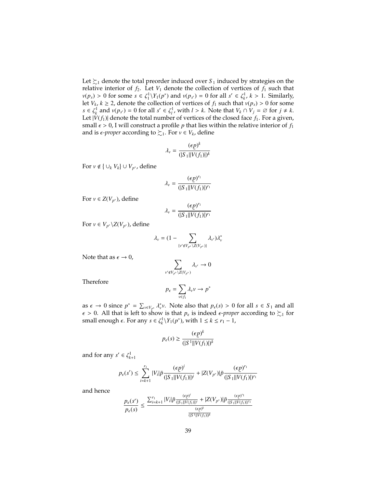Let  $\succsim_1$  denote the total preorder induced over  $S_1$  induced by strategies on the relative interior of  $f_2$ . Let  $V_1$  denote the collection of vertices of  $f_1$  such that  $v(p_s) > 0$  for some  $s \in \zeta_1^1 \backslash Y_1(p^*)$  and  $v(p_{s'}) = 0$  for all  $s' \in \zeta_k^1$ ,  $k > 1$ . Similarly, let  $V_1, k > 2$  denote the collection of vertices of f, such that  $v(n) > 0$  for some let  $V_k$ ,  $k \ge 2$ , denote the collection of vertices of  $f_1$  such that  $v(p_s) > 0$  for some  $s \in \mathbb{Z}^1$  and  $v(p_s) = 0$  for all  $s' \in \mathbb{Z}^1$  with  $l > k$ . Note that  $V_k \cap V_k = \emptyset$  for  $i \ne k$ .  $s \in \zeta_k^1$  and  $v(p_{s'}) = 0$  for all  $s' \in \zeta_l^1$ , with  $l > k$ . Note that  $V_k \cap V_j = \emptyset$  for  $j \neq k$ .<br>Let  $W(f_k)$  denote the total number of vertices of the closed face f. For a given Let  $|V(f_1)|$  denote the total number of vertices of the closed face  $f_1$ . For a given, small  $\epsilon > 0$ , I will construct a profile *p* that lies within the relative interior of  $f_1$ and is  $\epsilon$ *-proper* according to  $\succeq_1$ . For  $v \in V_k$ , define

$$
\lambda_{v} = \frac{(\epsilon p)^{k}}{(|S_{1}||V(f_{1})|)^{k}}
$$

For  $v \notin \{ \cup_k V_k \} \cup V_{p^*}$ , define

$$
\lambda_{v} = \frac{(\epsilon p)^{r_1}}{(|S_1||V(f_1)|)^{r_1}}
$$

For  $v \in Z(V_{p^*})$ , define

$$
\lambda_v = \frac{(\epsilon \underline{p})^{r_1}}{(|S_1||V(f_1)|)^{r_1}}
$$

For  $v \in V_{p^*} \backslash Z(V_{p^*})$ , define

$$
\lambda_{v} = (1 - \sum_{\{v' \notin V_{p^*} \setminus Z(V_{p^*})\}} \lambda_{v'}) \lambda_{v}^*
$$

Note that as  $\epsilon \to 0$ ,

$$
\sum_{v' \notin V_{p^*} \setminus Z(V_{p^*})} \lambda_{v'} \to 0
$$

Therefore

$$
p_{\epsilon} = \sum_{v \in f_1} \lambda_v v \to p^*
$$

as  $\epsilon \to 0$  since  $p^* = \sum_{v \in V_{p^*}} \lambda_v^* v$ . Note also that  $p_{\epsilon}(s) > 0$  for all  $s \in S_1$  and all  $\epsilon > 0$ . All that is left to show is that *n* is indeed  $\epsilon$ -*nroner* according to  $\succ$ , for  $\epsilon > 0$ . All that is left to show is that *p*<sub> $\epsilon$ </sub> is indeed  $\epsilon$ *-proper* according to  $\succsim$ 1 for small enough  $\epsilon$ . For any  $s \in \ell^1 \setminus Y_1(n^*)$ , with  $1 \le k \le r_1 - 1$ small enough  $\epsilon$ . For any  $s \in \zeta_k^1 \backslash Y_1(p^*)$ , with  $1 \leq k \leq r_1 - 1$ ,

$$
p_{\epsilon}(s) \ge \frac{(\epsilon p)^k}{(|S^1||V(f_1)|)^k}
$$

and for any  $s' \in \zeta_{k+1}^1$ 

$$
p_{\epsilon}(s') \leq \sum_{i=k+1}^{r_1} |V_i| \bar{p} \frac{(\epsilon p)^i}{(|S_1| |V(f_1)|)^i} + |Z(V_{p^*})| \bar{p} \frac{(\epsilon p)^{r_1}}{(|S_1| |V(f_1)|)^{r_1}}
$$

and hence

$$
\frac{p_\epsilon(s')}{p_\epsilon(s)} \leq \frac{\sum_{i=k+1}^{{r_1}}|V_i|\bar{p}\frac{(\epsilon p)^i}{(|S_1||V(f_1)|)^i}+|Z(V_{p^*})|\bar{p}\frac{(\epsilon p)^{{r_1}}}{(|S_1||V(f_1)|)^{{r_1}}}}{\frac{(\epsilon p)^k}{(|S^1||V(f_1)|)^k}}
$$